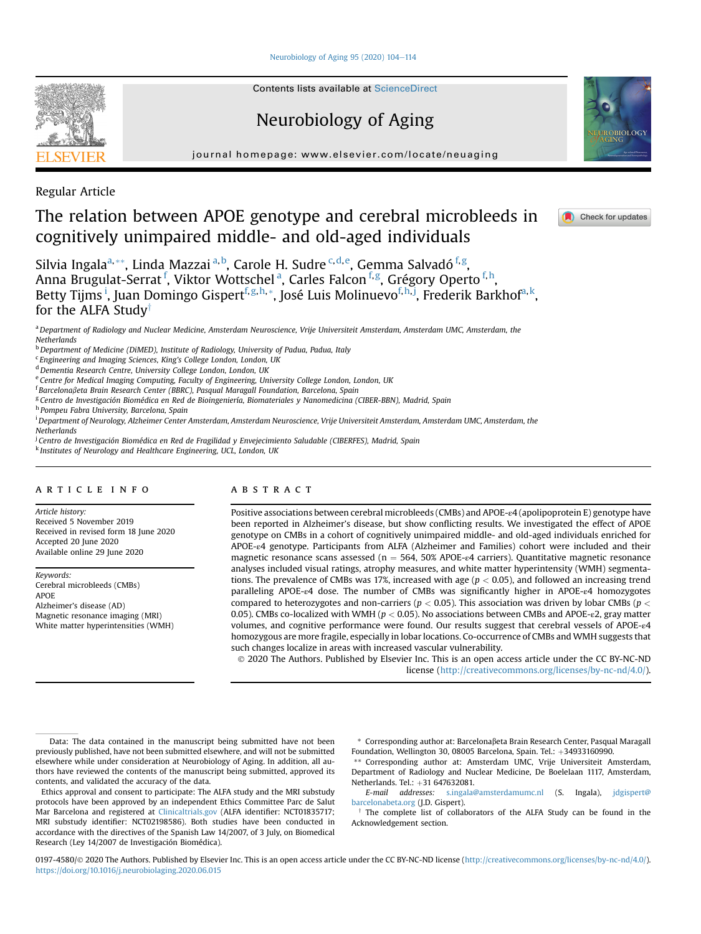Neurobiology of Aging 95  $(2020)$  104-[114](https://doi.org/10.1016/j.neurobiolaging.2020.06.015)

**Contents lists available at ScienceDirect** 

# Neurobiology of Aging

journal homepage: [www.elsevier.com/locate/neuaging](http://www.elsevier.com/locate/neuaging)

Regular Article

# The relation between APOE genotype and cerebral microbleeds in cognitively unimpaired middle- and old-aged individuals

Silvi[a](#page-0-0) Ingala<sup>a,</sup>[\\*\\*](#page-0-1), Linda Mazzai <sup>a,[b](#page-0-2)</sup>, Carole H. Sudre <sup>[c](#page-0-3),[d,](#page-0-4)[e](#page-0-5)</sup>, Gemma Salvadó <sup>[f](#page-0-6),[g](#page-0-7)</sup>, Anna Brugulat-Serrat <sup>[f](#page-0-6)</sup>, Viktor Wottschel <sup>[a](#page-0-0)</sup>, Carles Falcon <sup>f,[g](#page-0-7)</sup>, Grégory Operto <sup>f,[h](#page-0-8)</sup>, Betty T[i](#page-0-9)jms <sup>i</sup>, Juan Domingo Gispert<sup>[f,](#page-0-6)[g](#page-0-7),[h,](#page-0-8)</sup>\*, José Luis Molinuevo<sup>f,h,[j](#page-0-10)</sup>, Frederik Barkhof<sup>[a,](#page-0-0)[k](#page-0-11)</sup>, for the ALFA Study<sup>†</sup>

<span id="page-0-0"></span>a Department of Radiology and Nuclear Medicine, Amsterdam Neuroscience, Vrije Universiteit Amsterdam, Amsterdam UMC, Amsterdam, the **Netherlands** 

<span id="page-0-2"></span><sup>b</sup> Department of Medicine (DiMED), Institute of Radiology, University of Padua, Padua, Italy

<span id="page-0-3"></span><sup>c</sup> Engineering and Imaging Sciences, King's College London, London, UK

<span id="page-0-4"></span><sup>d</sup> Dementia Research Centre, University College London, London, UK

<span id="page-0-5"></span>e Centre for Medical Imaging Computing, Faculty of Engineering, University College London, London, UK

<span id="page-0-6"></span> $^{\rm f}$ Barcelona $\beta$ eta Brain Research Center (BBRC), Pasqual Maragall Foundation, Barcelona, Spain

<span id="page-0-7"></span><sup>g</sup> Centro de Investigación Biomédica en Red de Bioingeniería, Biomateriales y Nanomedicina (CIBER-BBN), Madrid, Spain

<span id="page-0-8"></span>h Pompeu Fabra University, Barcelona, Spain

<span id="page-0-9"></span><sup>i</sup> Department of Neurology, Alzheimer Center Amsterdam, Amsterdam Neuroscience, Vrije Universiteit Amsterdam, Amsterdam UMC, Amsterdam, the **Netherlands** 

<span id="page-0-10"></span><sup>j</sup> Centro de Investigación Biomédica en Red de Fragilidad y Envejecimiento Saludable (CIBERFES), Madrid, Spain

<span id="page-0-11"></span><sup>k</sup> Institutes of Neurology and Healthcare Engineering, UCL, London, UK

#### article info

Article history: Received 5 November 2019 Received in revised form 18 June 2020 Accepted 20 June 2020 Available online 29 June 2020

Keywords: Cerebral microbleeds (CMBs) APOE Alzheimer's disease (AD) Magnetic resonance imaging (MRI) White matter hyperintensities (WMH)

#### abstract

Positive associations between cerebral microbleeds (CMBs) and APOE-ε4 (apolipoprotein E) genotype have been reported in Alzheimer's disease, but show conflicting results. We investigated the effect of APOE genotype on CMBs in a cohort of cognitively unimpaired middle- and old-aged individuals enriched for APOE-ε4 genotype. Participants from ALFA (Alzheimer and Families) cohort were included and their magnetic resonance scans assessed ( $n = 564, 50\%$  APOE- $e4$  carriers). Quantitative magnetic resonance analyses included visual ratings, atrophy measures, and white matter hyperintensity (WMH) segmentations. The prevalence of CMBs was 17%, increased with age ( $p < 0.05$ ), and followed an increasing trend paralleling APOE-ε4 dose. The number of CMBs was significantly higher in APOE-ε4 homozygotes compared to heterozygotes and non-carriers ( $p < 0.05$ ). This association was driven by lobar CMBs ( $p <$ 0.05). CMBs co-localized with WMH ( $p < 0.05$ ). No associations between CMBs and APOE- $\epsilon$ 2, gray matter volumes, and cognitive performance were found. Our results suggest that cerebral vessels of APOE-ε4 homozygous are more fragile, especially in lobar locations. Co-occurrence of CMBs and WMH suggests that such changes localize in areas with increased vascular vulnerability.

 2020 The Authors. Published by Elsevier Inc. This is an open access article under the CC BY-NC-ND license [\(http://creativecommons.org/licenses/by-nc-nd/4.0/](http://creativecommons.org/licenses/by-nc-nd/4.0/)).

Data: The data contained in the manuscript being submitted have not been previously published, have not been submitted elsewhere, and will not be submitted elsewhere while under consideration at Neurobiology of Aging. In addition, all authors have reviewed the contents of the manuscript being submitted, approved its contents, and validated the accuracy of the data.

Ethics approval and consent to participate: The ALFA study and the MRI substudy protocols have been approved by an independent Ethics Committee Parc de Salut Mar Barcelona and registered at [Clinicaltrials.gov](http://Clinicaltrials.gov) (ALFA identifier: NCT01835717; MRI substudy identifier: NCT02198586). Both studies have been conducted in accordance with the directives of the Spanish Law 14/2007, of 3 July, on Biomedical Research (Ley 14/2007 de Investigación Biomédica).

\* Corresponding author at: Barcelonabeta Brain Research Center, Pasqual Maragall Foundation, Wellington 30, 08005 Barcelona, Spain. Tel.: +34933160990.

<span id="page-0-1"></span>\*\* Corresponding author at: Amsterdam UMC, Vrije Universiteit Amsterdam, Department of Radiology and Nuclear Medicine, De Boelelaan 1117, Amsterdam, Netherlands. Tel.: +31 647632081.

E-mail addresses: [s.ingala@amsterdamumc.nl](mailto:s.ingala@amsterdamumc.nl) (S. Ingala), [jdgispert@](mailto:jdgispert@barcelonabeta.org) [barcelonabeta.org](mailto:jdgispert@barcelonabeta.org) (J.D. Gispert).

 $\dagger$  The complete list of collaborators of the ALFA Study can be found in the Acknowledgement section.

0197-4580/© 2020 The Authors. Published by Elsevier Inc. This is an open access article under the CC BY-NC-ND license ([http://creativecommons.org/licenses/by-nc-nd/4.0/\)](http://creativecommons.org/licenses/by-nc-nd/4.0/). <https://doi.org/10.1016/j.neurobiolaging.2020.06.015>





Check for updates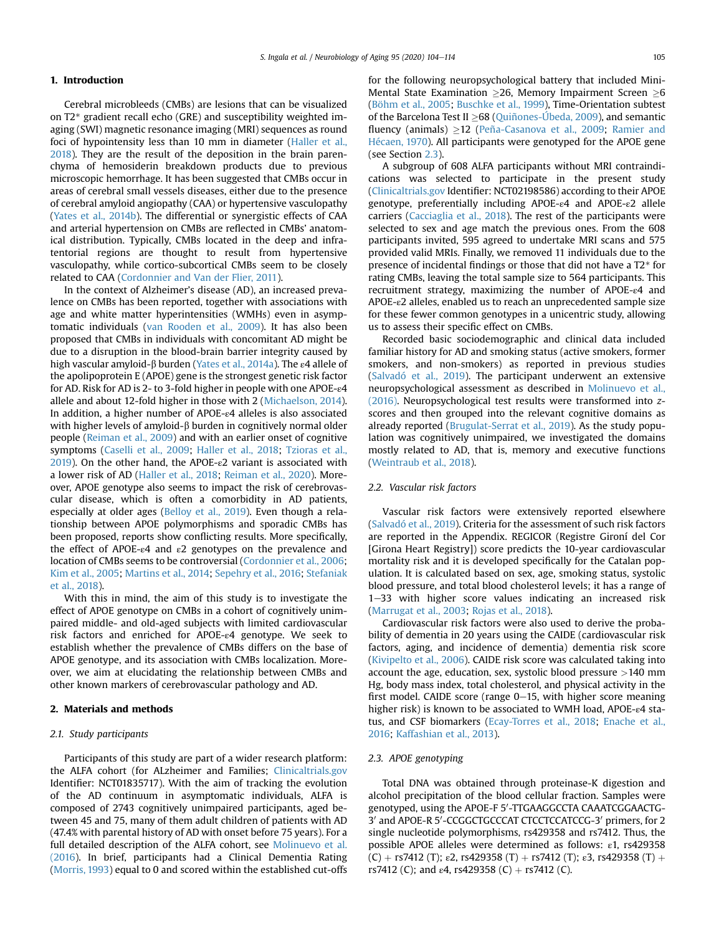#### 1. Introduction

Cerebral microbleeds (CMBs) are lesions that can be visualized on T2\* gradient recall echo (GRE) and susceptibility weighted imaging (SWI) magnetic resonance imaging (MRI) sequences as round foci of hypointensity less than 10 mm in diameter ([Haller et al.,](#page-9-0) [2018\)](#page-9-0). They are the result of the deposition in the brain parenchyma of hemosiderin breakdown products due to previous microscopic hemorrhage. It has been suggested that CMBs occur in areas of cerebral small vessels diseases, either due to the presence of cerebral amyloid angiopathy (CAA) or hypertensive vasculopathy ([Yates et al., 2014b](#page-10-0)). The differential or synergistic effects of CAA and arterial hypertension on CMBs are reflected in CMBs' anatomical distribution. Typically, CMBs located in the deep and infratentorial regions are thought to result from hypertensive vasculopathy, while cortico-subcortical CMBs seem to be closely related to CAA ([Cordonnier and Van der Flier, 2011\)](#page-9-1).

In the context of Alzheimer's disease (AD), an increased prevalence on CMBs has been reported, together with associations with age and white matter hyperintensities (WMHs) even in asymptomatic individuals [\(van Rooden et al., 2009\)](#page-10-1). It has also been proposed that CMBs in individuals with concomitant AD might be due to a disruption in the blood-brain barrier integrity caused by high vascular amyloid-b burden [\(Yates et al., 2014a\)](#page-10-2). The ε4 allele of the apolipoprotein E (APOE) gene is the strongest genetic risk factor for AD. Risk for AD is 2- to 3-fold higher in people with one APOE-ε4 allele and about 12-fold higher in those with 2 ([Michaelson, 2014](#page-9-2)). In addition, a higher number of APOE-ε4 alleles is also associated with higher levels of amyloid- $\beta$  burden in cognitively normal older people ([Reiman et al., 2009](#page-10-3)) and with an earlier onset of cognitive symptoms [\(Caselli et al., 2009](#page-8-0); [Haller et al., 2018](#page-9-0); [Tzioras et al.,](#page-10-4) [2019\)](#page-10-4). On the other hand, the APOE- $\epsilon$ 2 variant is associated with a lower risk of AD ([Haller et al., 2018](#page-9-0); [Reiman et al., 2020](#page-10-5)). Moreover, APOE genotype also seems to impact the risk of cerebrovascular disease, which is often a comorbidity in AD patients, especially at older ages [\(Belloy et al., 2019](#page-8-1)). Even though a relationship between APOE polymorphisms and sporadic CMBs has been proposed, reports show conflicting results. More specifically, the effect of APOE- $\epsilon$ 4 and  $\epsilon$ 2 genotypes on the prevalence and location of CMBs seems to be controversial [\(Cordonnier et al., 2006](#page-9-3); [Kim et al., 2005](#page-9-4); [Martins et al., 2014](#page-9-5); [Sepehry et al., 2016;](#page-10-6) [Stefaniak](#page-10-7) [et al., 2018](#page-10-7)).

With this in mind, the aim of this study is to investigate the effect of APOE genotype on CMBs in a cohort of cognitively unimpaired middle- and old-aged subjects with limited cardiovascular risk factors and enriched for APOE-ε4 genotype. We seek to establish whether the prevalence of CMBs differs on the base of APOE genotype, and its association with CMBs localization. Moreover, we aim at elucidating the relationship between CMBs and other known markers of cerebrovascular pathology and AD.

#### 2. Materials and methods

## 2.1. Study participants

Participants of this study are part of a wider research platform: the ALFA cohort (for ALzheimer and Families; [Clinicaltrials.gov](http://Clinicaltrials.gov) Identifier: NCT01835717). With the aim of tracking the evolution of the AD continuum in asymptomatic individuals, ALFA is composed of 2743 cognitively unimpaired participants, aged between 45 and 75, many of them adult children of patients with AD (47.4% with parental history of AD with onset before 75 years). For a full detailed description of the ALFA cohort, see [Molinuevo et al.](#page-9-6) [\(2016\)](#page-9-6). In brief, participants had a Clinical Dementia Rating ([Morris, 1993](#page-9-7)) equal to 0 and scored within the established cut-offs

for the following neuropsychological battery that included Mini-Mental State Examination  $\geq$ 26, Memory Impairment Screen  $\geq$ 6 [\(Böhm et al., 2005;](#page-8-2) [Buschke et al., 1999](#page-8-3)), Time-Orientation subtest of the Barcelona Test II  $\geq$ 68 [\(Quiñones-Úbeda, 2009\)](#page-9-8), and semantic fluency (animals)  $\geq$ 12 [\(Peña-Casanova et al., 2009;](#page-9-9) [Ramier and](#page-9-10) [Hécaen, 1970](#page-9-10)). All participants were genotyped for the APOE gene (see Section [2.3](#page-1-0)).

A subgroup of 608 ALFA participants without MRI contraindications was selected to participate in the present study [\(Clinicaltrials.gov](http://Clinicaltrials.gov) Identifier: NCT02198586) according to their APOE genotype, preferentially including APOE-ε4 and APOE-ε2 allele carriers ([Cacciaglia et al., 2018\)](#page-8-4). The rest of the participants were selected to sex and age match the previous ones. From the 608 participants invited, 595 agreed to undertake MRI scans and 575 provided valid MRIs. Finally, we removed 11 individuals due to the presence of incidental findings or those that did not have a T2\* for rating CMBs, leaving the total sample size to 564 participants. This recruitment strategy, maximizing the number of APOE-ε4 and APOE-ε2 alleles, enabled us to reach an unprecedented sample size for these fewer common genotypes in a unicentric study, allowing us to assess their specific effect on CMBs.

Recorded basic sociodemographic and clinical data included familiar history for AD and smoking status (active smokers, former smokers, and non-smokers) as reported in previous studies [\(Salvadó et al., 2019\)](#page-10-8). The participant underwent an extensive neuropsychological assessment as described in [Molinuevo et al.,](#page-9-6) [\(2016\)](#page-9-6). Neuropsychological test results were transformed into zscores and then grouped into the relevant cognitive domains as already reported [\(Brugulat-Serrat et al., 2019](#page-8-5)). As the study population was cognitively unimpaired, we investigated the domains mostly related to AD, that is, memory and executive functions [\(Weintraub et al., 2018\)](#page-10-9).

#### 2.2. Vascular risk factors

Vascular risk factors were extensively reported elsewhere [\(Salvadó et al., 2019\)](#page-10-8). Criteria for the assessment of such risk factors are reported in the Appendix. REGICOR (Registre Gironí del Cor [Girona Heart Registry]) score predicts the 10-year cardiovascular mortality risk and it is developed specifically for the Catalan population. It is calculated based on sex, age, smoking status, systolic blood pressure, and total blood cholesterol levels; it has a range of 1-33 with higher score values indicating an increased risk [\(Marrugat et al., 2003;](#page-9-11) [Rojas et al., 2018](#page-10-10)).

Cardiovascular risk factors were also used to derive the probability of dementia in 20 years using the CAIDE (cardiovascular risk factors, aging, and incidence of dementia) dementia risk score [\(Kivipelto et al., 2006](#page-9-12)). CAIDE risk score was calculated taking into account the age, education, sex, systolic blood pressure  $>140$  mm Hg, body mass index, total cholesterol, and physical activity in the first model. CAIDE score (range  $0-15$ , with higher score meaning higher risk) is known to be associated to WMH load, APOE-ε4 status, and CSF biomarkers [\(Ecay-Torres et al., 2018;](#page-9-13) [Enache et al.,](#page-9-14) [2016](#page-9-14); [Kaffashian et al., 2013\)](#page-9-15).

### <span id="page-1-0"></span>2.3. APOE genotyping

Total DNA was obtained through proteinase-K digestion and alcohol precipitation of the blood cellular fraction. Samples were genotyped, using the APOE-F 5'-TTGAAGGCCTA CAAATCGGAACTG-3' and APOE-R 5'-CCGGCTGCCCAT CTCCTCCATCCG-3' primers, for 2 single nucleotide polymorphisms, rs429358 and rs7412. Thus, the possible APOE alleles were determined as follows: ε1, rs429358  $(C)$  + rs7412 (T); ε2, rs429358 (T) + rs7412 (T); ε3, rs429358 (T) + rs7412 (C); and  $\varepsilon$ 4, rs429358 (C) + rs7412 (C).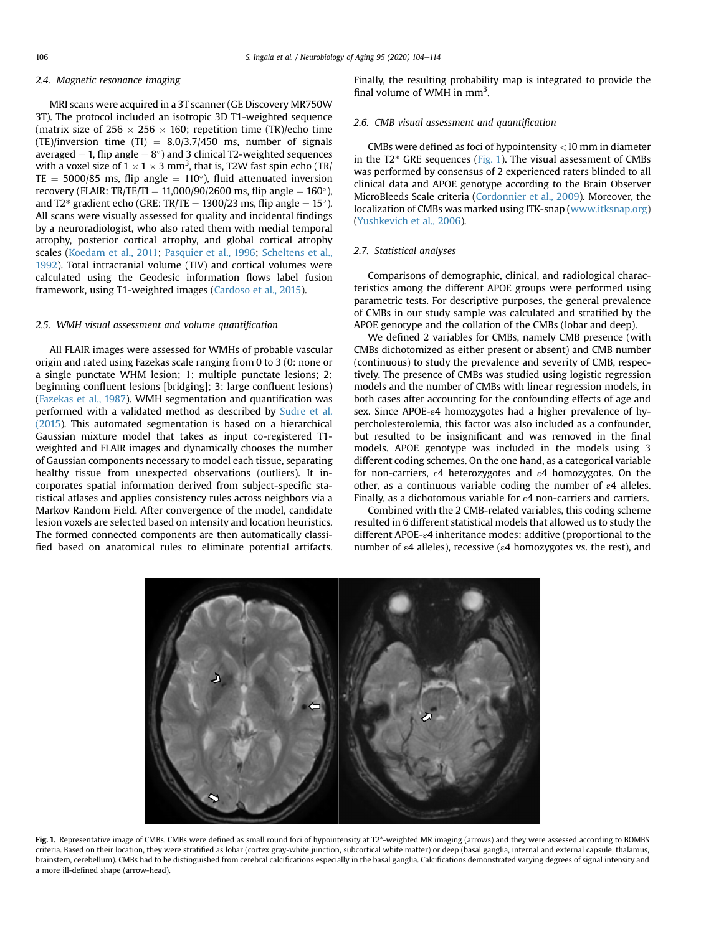#### 2.4. Magnetic resonance imaging

MRI scans were acquired in a 3T scanner (GE Discovery MR750W 3T). The protocol included an isotropic 3D T1-weighted sequence (matrix size of 256  $\times$  256  $\times$  160; repetition time (TR)/echo time (TE)/inversion time (TI) =  $8.0/3.7/450$  ms, number of signals averaged  $= 1$ , flip angle  $= 8^{\circ}$ ) and 3 clinical T2-weighted sequences with a voxel size of  $1 \times 1 \times 3$  mm<sup>3</sup>, that is, T2W fast spin echo (TR/ TE = 5000/85 ms, flip angle = 110 $^{\circ}$ ), fluid attenuated inversion recovery (FLAIR: TR/TE/TI = 11,000/90/2600 ms, flip angle =  $160^{\circ}$ ), and T2\* gradient echo (GRE: TR/TE = 1300/23 ms, flip angle =  $15^{\circ}$ ). All scans were visually assessed for quality and incidental findings by a neuroradiologist, who also rated them with medial temporal atrophy, posterior cortical atrophy, and global cortical atrophy scales [\(Koedam et al., 2011;](#page-9-16) [Pasquier et al., 1996](#page-9-17); [Scheltens et al.,](#page-10-11) [1992\)](#page-10-11). Total intracranial volume (TIV) and cortical volumes were calculated using the Geodesic information flows label fusion framework, using T1-weighted images ([Cardoso et al., 2015](#page-8-6)).

#### 2.5. WMH visual assessment and volume quantification

All FLAIR images were assessed for WMHs of probable vascular origin and rated using Fazekas scale ranging from 0 to 3 (0: none or a single punctate WHM lesion; 1: multiple punctate lesions; 2: beginning confluent lesions [bridging]; 3: large confluent lesions) [\(Fazekas et al., 1987\)](#page-9-18). WMH segmentation and quantification was performed with a validated method as described by [Sudre et al.](#page-10-12) [\(2015](#page-10-12)). This automated segmentation is based on a hierarchical Gaussian mixture model that takes as input co-registered T1 weighted and FLAIR images and dynamically chooses the number of Gaussian components necessary to model each tissue, separating healthy tissue from unexpected observations (outliers). It incorporates spatial information derived from subject-specific statistical atlases and applies consistency rules across neighbors via a Markov Random Field. After convergence of the model, candidate lesion voxels are selected based on intensity and location heuristics. The formed connected components are then automatically classified based on anatomical rules to eliminate potential artifacts.

Finally, the resulting probability map is integrated to provide the final volume of WMH in mm<sup>3</sup>.

# 2.6. CMB visual assessment and quantification

CMBs were defined as foci of hypointensity  $<$  10 mm in diameter in the  $T2^*$  GRE sequences ([Fig. 1\)](#page-2-0). The visual assessment of CMBs was performed by consensus of 2 experienced raters blinded to all clinical data and APOE genotype according to the Brain Observer MicroBleeds Scale criteria [\(Cordonnier et al., 2009\)](#page-9-19). Moreover, the localization of CMBs was marked using ITK-snap [\(www.itksnap.org](http://www.itksnap.org)) ([Yushkevich et al., 2006](#page-10-13)).

#### 2.7. Statistical analyses

Comparisons of demographic, clinical, and radiological characteristics among the different APOE groups were performed using parametric tests. For descriptive purposes, the general prevalence of CMBs in our study sample was calculated and stratified by the APOE genotype and the collation of the CMBs (lobar and deep).

We defined 2 variables for CMBs, namely CMB presence (with CMBs dichotomized as either present or absent) and CMB number (continuous) to study the prevalence and severity of CMB, respectively. The presence of CMBs was studied using logistic regression models and the number of CMBs with linear regression models, in both cases after accounting for the confounding effects of age and sex. Since APOE-ε4 homozygotes had a higher prevalence of hypercholesterolemia, this factor was also included as a confounder, but resulted to be insignificant and was removed in the final models. APOE genotype was included in the models using 3 different coding schemes. On the one hand, as a categorical variable for non-carriers,  $\varepsilon$ 4 heterozygotes and  $\varepsilon$ 4 homozygotes. On the other, as a continuous variable coding the number of  $\varepsilon$ 4 alleles. Finally, as a dichotomous variable for ε4 non-carriers and carriers.

Combined with the 2 CMB-related variables, this coding scheme resulted in 6 different statistical models that allowed us to study the different APOE-ε4 inheritance modes: additive (proportional to the number of  $\varepsilon$ 4 alleles), recessive ( $\varepsilon$ 4 homozygotes vs. the rest), and

<span id="page-2-0"></span>

Fig. 1. Representative image of CMBs. CMBs were defined as small round foci of hypointensity at T2\*-weighted MR imaging (arrows) and they were assessed according to BOMBS criteria. Based on their location, they were stratified as lobar (cortex gray-white junction, subcortical white matter) or deep (basal ganglia, internal and external capsule, thalamus, brainstem, cerebellum). CMBs had to be distinguished from cerebral calcifications especially in the basal ganglia. Calcifications demonstrated varying degrees of signal intensity and a more ill-defined shape (arrow-head).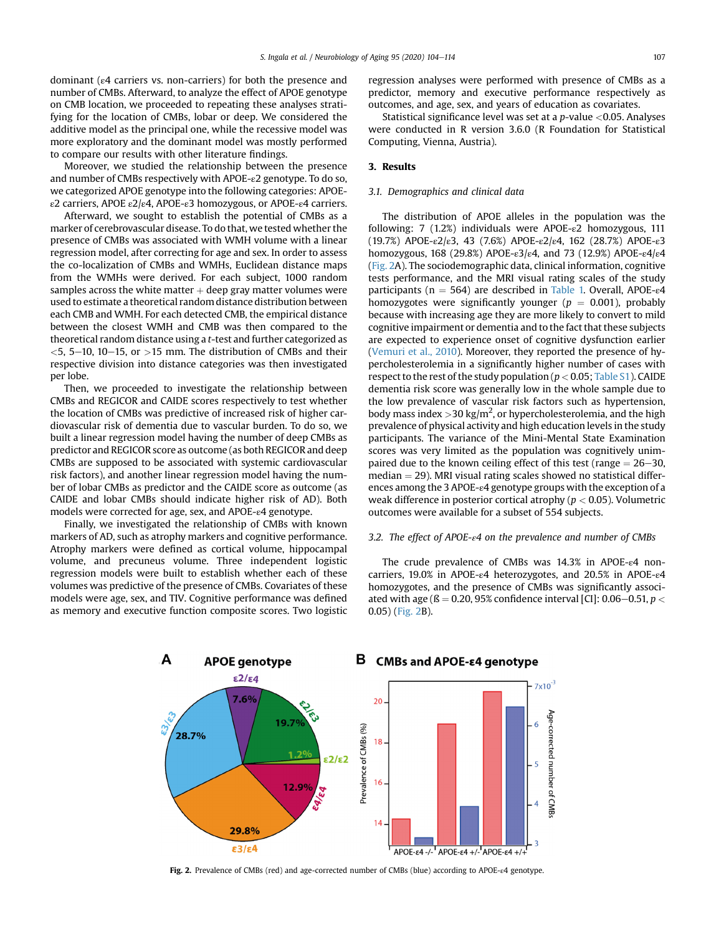dominant ( $\varepsilon$ 4 carriers vs. non-carriers) for both the presence and number of CMBs. Afterward, to analyze the effect of APOE genotype on CMB location, we proceeded to repeating these analyses stratifying for the location of CMBs, lobar or deep. We considered the additive model as the principal one, while the recessive model was more exploratory and the dominant model was mostly performed to compare our results with other literature findings.

Moreover, we studied the relationship between the presence and number of CMBs respectively with APOE-ε2 genotype. To do so, we categorized APOE genotype into the following categories: APOEε2 carriers, APOE ε2/ε4, APOE-ε3 homozygous, or APOE-ε4 carriers.

Afterward, we sought to establish the potential of CMBs as a marker of cerebrovascular disease. To do that, we tested whether the presence of CMBs was associated with WMH volume with a linear regression model, after correcting for age and sex. In order to assess the co-localization of CMBs and WMHs, Euclidean distance maps from the WMHs were derived. For each subject, 1000 random samples across the white matter  $+$  deep gray matter volumes were used to estimate a theoretical random distance distribution between each CMB and WMH. For each detected CMB, the empirical distance between the closest WMH and CMB was then compared to the theoretical random distance using a t-test and further categorized as  $<$  5, 5–10, 10–15, or  $>$ 15 mm. The distribution of CMBs and their respective division into distance categories was then investigated per lobe.

Then, we proceeded to investigate the relationship between CMBs and REGICOR and CAIDE scores respectively to test whether the location of CMBs was predictive of increased risk of higher cardiovascular risk of dementia due to vascular burden. To do so, we built a linear regression model having the number of deep CMBs as predictor and REGICOR score as outcome (as both REGICOR and deep CMBs are supposed to be associated with systemic cardiovascular risk factors), and another linear regression model having the number of lobar CMBs as predictor and the CAIDE score as outcome (as CAIDE and lobar CMBs should indicate higher risk of AD). Both models were corrected for age, sex, and APOE-ε4 genotype.

Finally, we investigated the relationship of CMBs with known markers of AD, such as atrophy markers and cognitive performance. Atrophy markers were defined as cortical volume, hippocampal volume, and precuneus volume. Three independent logistic regression models were built to establish whether each of these volumes was predictive of the presence of CMBs. Covariates of these models were age, sex, and TIV. Cognitive performance was defined as memory and executive function composite scores. Two logistic

regression analyses were performed with presence of CMBs as a predictor, memory and executive performance respectively as outcomes, and age, sex, and years of education as covariates.

Statistical significance level was set at a  $p$ -value <0.05. Analyses were conducted in R version 3.6.0 (R Foundation for Statistical Computing, Vienna, Austria).

#### 3. Results

#### 3.1. Demographics and clinical data

The distribution of APOE alleles in the population was the following: 7 (1.2%) individuals were APOE-ε2 homozygous, 111 (19.7%) APOE-ε2/ε3, 43 (7.6%) APOE-ε2/ε4, 162 (28.7%) APOE-ε3 homozygous, 168 (29.8%) APOE-ε3/ε4, and 73 (12.9%) APOE-ε4/ε4 [\(Fig. 2](#page-3-0)A). The sociodemographic data, clinical information, cognitive tests performance, and the MRI visual rating scales of the study participants (n = 564) are described in [Table 1.](#page-4-0) Overall, APOE- $\epsilon$ 4 homozygotes were significantly younger ( $p = 0.001$ ), probably because with increasing age they are more likely to convert to mild cognitive impairment or dementia and to the fact that these subjects are expected to experience onset of cognitive dysfunction earlier [\(Vemuri et al., 2010](#page-10-14)). Moreover, they reported the presence of hypercholesterolemia in a significantly higher number of cases with respect to the rest of the study population ( $p < 0.05$ ; Table S1). CAIDE dementia risk score was generally low in the whole sample due to the low prevalence of vascular risk factors such as hypertension, body mass index  $>\!\!30$  kg/m<sup>2</sup>, or hypercholesterolemia, and the high prevalence of physical activity and high education levels in the study participants. The variance of the Mini-Mental State Examination scores was very limited as the population was cognitively unimpaired due to the known ceiling effect of this test (range  $= 26-30$ ,  $median = 29$ ). MRI visual rating scales showed no statistical differences among the 3 APOE- $\epsilon$ 4 genotype groups with the exception of a weak difference in posterior cortical atrophy ( $p < 0.05$ ). Volumetric outcomes were available for a subset of 554 subjects.

#### 3.2. The effect of APOE- $e4$  on the prevalence and number of CMBs

The crude prevalence of CMBs was 14.3% in APOE-ε4 noncarriers, 19.0% in APOE-ε4 heterozygotes, and 20.5% in APOE-ε4 homozygotes, and the presence of CMBs was significantly associated with age ( $\beta = 0.20$ , 95% confidence interval [CI]: 0.06–0.51, p < 0.05) ([Fig. 2B](#page-3-0)).

<span id="page-3-0"></span>

Fig. 2. Prevalence of CMBs (red) and age-corrected number of CMBs (blue) according to APOE-ε4 genotype.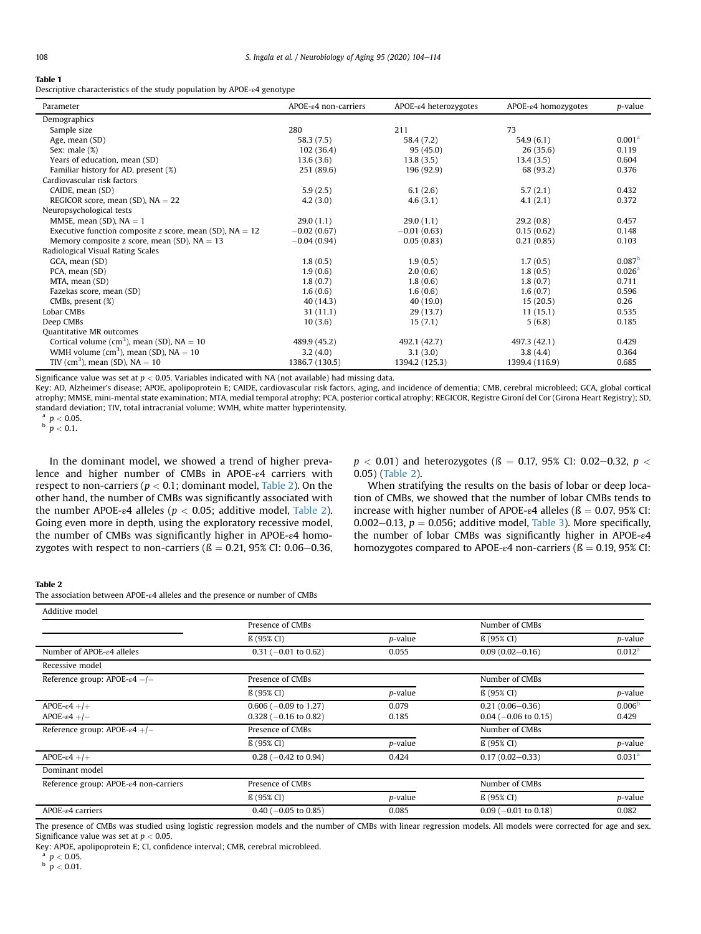#### <span id="page-4-0"></span>Table 1

Descriptive characteristics of the study population by APOE-ε4 genotype

| Parameter                                                  | $APOE-e4$ non-carriers | APOE-e4 heterozygotes | $APOE$ - $\varepsilon$ 4 homozygotes | <i>p</i> -value    |
|------------------------------------------------------------|------------------------|-----------------------|--------------------------------------|--------------------|
| Demographics                                               |                        |                       |                                      |                    |
| Sample size                                                | 280                    | 211                   | 73                                   |                    |
| Age, mean (SD)                                             | 58.3(7.5)              | 58.4 (7.2)            | 54.9(6.1)                            | 0.001 <sup>a</sup> |
| Sex: male $(\%)$                                           | 102(36.4)              | 95(45.0)              | 26(35.6)                             | 0.119              |
| Years of education, mean (SD)                              | 13.6(3.6)              | 13.8(3.5)             | 13.4(3.5)                            | 0.604              |
| Familiar history for AD, present (%)                       | 251 (89.6)             | 196 (92.9)            | 68 (93.2)                            | 0.376              |
| Cardiovascular risk factors                                |                        |                       |                                      |                    |
| CAIDE, mean (SD)                                           | 5.9(2.5)               | 6.1(2.6)              | 5.7(2.1)                             | 0.432              |
| REGICOR score, mean $(SD)$ , NA = 22                       | 4.2(3.0)               | 4.6(3.1)              | 4.1(2.1)                             | 0.372              |
| Neuropsychological tests                                   |                        |                       |                                      |                    |
| MMSE, mean $(SD)$ , NA = 1                                 | 29.0(1.1)              | 29.0(1.1)             | 29.2(0.8)                            | 0.457              |
| Executive function composite z score, mean (SD), $NA = 12$ | $-0.02(0.67)$          | $-0.01(0.63)$         | 0.15(0.62)                           | 0.148              |
| Memory composite z score, mean (SD), $NA = 13$             | $-0.04(0.94)$          | 0.05(0.83)            | 0.21(0.85)                           | 0.103              |
| Radiological Visual Rating Scales                          |                        |                       |                                      |                    |
| GCA, mean (SD)                                             | 1.8(0.5)               | 1.9(0.5)              | 1.7(0.5)                             | 0.087 <sup>b</sup> |
| PCA, mean (SD)                                             | 1.9(0.6)               | 2.0(0.6)              | 1.8(0.5)                             | 0.026 <sup>a</sup> |
| MTA, mean (SD)                                             | 1.8(0.7)               | 1.8(0.6)              | 1.8(0.7)                             | 0.711              |
| Fazekas score, mean (SD)                                   | 1.6(0.6)               | 1.6(0.6)              | 1.6(0.7)                             | 0.596              |
| CMBs, present (%)                                          | 40 (14.3)              | 40 (19.0)             | 15(20.5)                             | 0.26               |
| Lobar CMBs                                                 | 31(11.1)               | 29(13.7)              | 11(15.1)                             | 0.535              |
| Deep CMBs                                                  | 10(3.6)                | 15(7.1)               | 5(6.8)                               | 0.185              |
| Quantitative MR outcomes                                   |                        |                       |                                      |                    |
| Cortical volume ( $cm3$ ), mean (SD), NA = 10              | 489.9 (45.2)           | 492.1 (42.7)          | 497.3 (42.1)                         | 0.429              |
| WMH volume $\text{(cm}^3)$ , mean (SD), NA = 10            | 3.2(4.0)               | 3.1(3.0)              | 3.8(4.4)                             | 0.364              |
| TIV (cm <sup>3</sup> ), mean (SD), $NA = 10$               | 1386.7 (130.5)         | 1394.2 (125.3)        | 1399.4 (116.9)                       | 0.685              |

Significance value was set at  $p < 0.05$ . Variables indicated with NA (not available) had missing data.

Key: AD, Alzheimer's disease; APOE, apolipoprotein E; CAIDE, cardiovascular risk factors, aging, and incidence of dementia; CMB, cerebral microbleed; GCA, global cortical atrophy; MMSE, mini-mental state examination; MTA, medial temporal atrophy; PCA, posterior cortical atrophy; REGICOR, Registre Gironí del Cor (Girona Heart Registry); SD, standard deviation; TIV, total intracranial volume; WMH, white matter hyperintensity.

 $p < 0.05$ .

 $\frac{b}{p}$  + p < 0.1.

In the dominant model, we showed a trend of higher prevalence and higher number of CMBs in APOE-ε4 carriers with respect to non-carriers ( $p < 0.1$ ; dominant model, [Table 2\)](#page-4-1). On the other hand, the number of CMBs was significantly associated with the number APOE- $\epsilon$ 4 alleles ( $p < 0.05$ ; additive model, [Table 2\)](#page-4-1). Going even more in depth, using the exploratory recessive model, the number of CMBs was significantly higher in APOE-ε4 homozygotes with respect to non-carriers ( $\beta = 0.21$ , 95% CI: 0.06–0.36,

 $p < 0.01$ ) and heterozygotes ( $\text{B} = 0.17, 95\%$  CI: 0.02–0.32,  $p <$ 0.05) [\(Table 2\)](#page-4-1).

When stratifying the results on the basis of lobar or deep location of CMBs, we showed that the number of lobar CMBs tends to increase with higher number of APOE- $\epsilon$ 4 alleles ( $\beta$  = 0.07, 95% CI: 0.002–0.13,  $p = 0.056$ ; additive model, [Table 3](#page-5-0)). More specifically, the number of lobar CMBs was significantly higher in APOE-ε4 homozygotes compared to APOE- $\varepsilon$ 4 non-carriers ( $\beta$  = 0.19, 95% CI:

#### <span id="page-4-1"></span>Table 2

The association between APOE-ε4 alleles and the presence or number of CMBs

| Additive model                             |                            |         |                        |                    |
|--------------------------------------------|----------------------------|---------|------------------------|--------------------|
|                                            | Presence of CMBs           |         | Number of CMBs         |                    |
|                                            | ß (95% CI)                 | p-value | ß (95% CI)             | p-value            |
| Number of APOE- $\varepsilon$ 4 alleles    | $0.31$ (-0.01 to 0.62)     | 0.055   | $0.09(0.02 - 0.16)$    | 0.012 <sup>a</sup> |
| Recessive model                            |                            |         |                        |                    |
| Reference group: APOE- $\varepsilon$ 4 -/- | Presence of CMBs           |         | Number of CMBs         |                    |
|                                            | ß (95% CI)                 | p-value | ß (95% CI)             | p-value            |
| $APOE - \varepsilon 4$ +/+                 | $0.606$ ( $-0.09$ to 1.27) | 0.079   | $0.21(0.06 - 0.36)$    | 0.006 <sup>b</sup> |
| $APOE - \varepsilon 4$ +/-                 | $0.328$ (-0.16 to 0.82)    | 0.185   | $0.04$ (-0.06 to 0.15) | 0.429              |
| Reference group: APOE- $\varepsilon$ 4 +/- | Presence of CMBs           |         | Number of CMBs         |                    |
|                                            | $\beta$ (95% CI)           | p-value | ß (95% CI)             | p-value            |
| $APOE - \varepsilon 4$ +/+                 | $0.28$ (-0.42 to 0.94)     | 0.424   | $0.17(0.02 - 0.33)$    | 0.031 <sup>a</sup> |
| Dominant model                             |                            |         |                        |                    |
| Reference group: APOE- $e4$ non-carriers   | Presence of CMBs           |         | Number of CMBs         |                    |
|                                            | $\beta$ (95% CI)           | p-value | ß (95% CI)             | $p$ -value         |
| APOE-ε4 carriers                           | $0.40$ (-0.05 to 0.85)     | 0.085   | $0.09$ (-0.01 to 0.18) | 0.082              |

The presence of CMBs was studied using logistic regression models and the number of CMBs with linear regression models. All models were corrected for age and sex. Significance value was set at  $p < 0.05$ .

Key: APOE, apolipoprotein E; CI, confidence interval; CMB, cerebral microbleed.

 $a$   $p < 0.05$ .  $\frac{b}{p}$  +  $\frac{h}{p}$  < 0.01.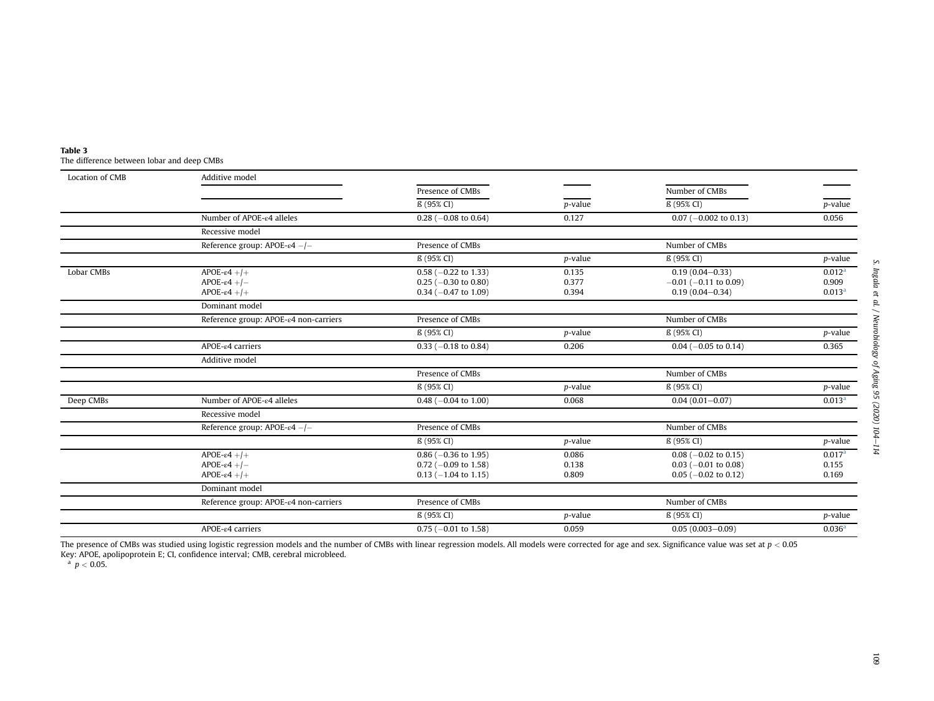<span id="page-5-0"></span>

| Table 3                                    |  |  |  |
|--------------------------------------------|--|--|--|
| The difference between lobar and deep CMBs |  |  |  |

| Location of CMB | Additive model                                            |                                 |         |                            |                    |
|-----------------|-----------------------------------------------------------|---------------------------------|---------|----------------------------|--------------------|
|                 |                                                           | Presence of CMBs                |         | Number of CMBs             |                    |
|                 |                                                           | ß (95% CI)                      | p-value | ß (95% CI)                 | p-value            |
|                 | Number of APOE- $\epsilon$ 4 alleles                      | $0.28$ (-0.08 to 0.64)          | 0.127   | $0.07$ (-0.002 to 0.13)    | 0.056              |
|                 | Recessive model                                           |                                 |         |                            |                    |
|                 | Reference group: APOE- $\varepsilon$ 4 -/-                | Presence of CMBs                |         | Number of CMBs             |                    |
|                 |                                                           | ß (95% CI)                      | p-value | ß (95% CI)                 | <i>p</i> -value    |
| Lobar CMBs      | $APOE - \varepsilon 4$ +/+                                | $0.58$ (-0.22 to 1.33)          | 0.135   | $0.19(0.04 - 0.33)$        | 0.012 <sup>a</sup> |
|                 | $APOE-e4$ +/-                                             | $0.25$ (-0.30 to 0.80)          | 0.377   | $-0.01$ ( $-0.11$ to 0.09) | 0.909              |
|                 | $APOE-e4$ +/+                                             | $0.34 (-0.47 \text{ to } 1.09)$ | 0.394   | $0.19(0.04 - 0.34)$        | 0.013 <sup>a</sup> |
|                 | Dominant model                                            |                                 |         |                            |                    |
|                 | Reference group: APOE- $\varepsilon$ 4 non-carriers       | Presence of CMBs                |         | Number of CMBs             |                    |
|                 |                                                           | ß (95% CI)                      | p-value | ß (95% CI)                 | p-value            |
|                 | $\overline{APOE}$ - $\varepsilon$ 4 carriers              | $0.33$ (-0.18 to 0.84)          | 0.206   | $0.04$ (-0.05 to 0.14)     | 0.365              |
|                 | Additive model                                            |                                 |         |                            |                    |
|                 |                                                           | Presence of CMBs                |         | Number of CMBs             |                    |
|                 |                                                           | ß (95% CI)                      | p-value | ß (95% CI)                 | p-value            |
| Deep CMBs       | Number of APOE- <sub><math>\epsilon</math>4</sub> alleles | $0.48$ (-0.04 to 1.00)          | 0.068   | $0.04(0.01 - 0.07)$        | 0.013 <sup>a</sup> |
|                 | Recessive model                                           |                                 |         |                            |                    |
|                 | Reference group: APOE- $\varepsilon$ 4 -/-                | Presence of CMBs                |         | Number of CMBs             |                    |
|                 |                                                           | ß (95% CI)                      | p-value | ß (95% CI)                 | p-value            |
|                 | $APOE-e4$ +/+                                             | $0.86$ ( $-0.36$ to 1.95)       | 0.086   | $0.08$ (-0.02 to 0.15)     | 0.017 <sup>a</sup> |
|                 | $APOE-e4$ +/-                                             | $0.72$ (-0.09 to 1.58)          | 0.138   | $0.03$ (-0.01 to 0.08)     | 0.155              |
|                 | $APOE-e4$ +/+                                             | $0.13$ (-1.04 to 1.15)          | 0.809   | $0.05$ (-0.02 to 0.12)     | 0.169              |
|                 | Dominant model                                            |                                 |         |                            |                    |
|                 | Reference group: APOE- $\varepsilon$ 4 non-carriers       | Presence of CMBs                |         | Number of CMBs             |                    |
|                 |                                                           | ß (95% CI)                      | p-value | ß (95% CI)                 | p-value            |
|                 | APOE-ε4 carriers                                          | $0.75$ (-0.01 to 1.58)          | 0.059   | $0.05(0.003 - 0.09)$       | 0.036 <sup>a</sup> |

The presence of CMBs was studied using logistic regression models and the number of CMBs with linear regression models. All models were corrected for age and sex. Significance value was set at  $p < 0.05$ Key: APOE, apolipoprotein E; CI, confidence interval; CMB, cerebral microbleed.<br> $\frac{a}{p} < 0.05$ .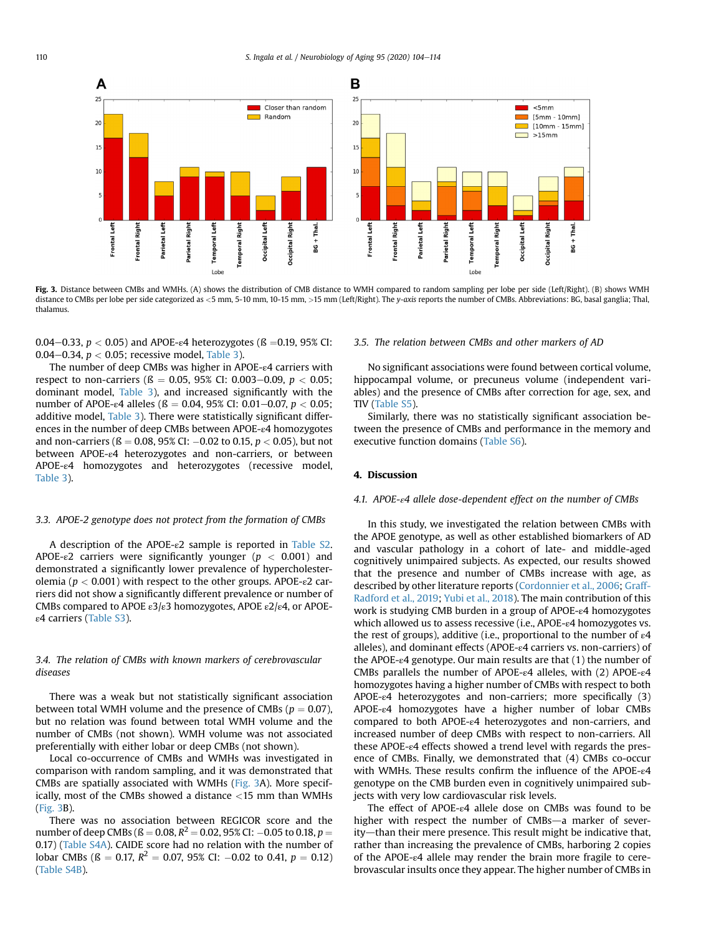<span id="page-6-0"></span>

Fig. 3. Distance between CMBs and WMHs. (A) shows the distribution of CMB distance to WMH compared to random sampling per lobe per side (Left/Right). (B) shows WMH distance to CMBs per lobe per side categorized as <5 mm, 5-10 mm, 10-15 mm, >15 mm (Left/Right). The y-axis reports the number of CMBs. Abbreviations: BG, basal ganglia; Thal, thalamus.

0.04–0.33,  $p < 0.05$ ) and APOE- $\varepsilon$ 4 heterozygotes ( $\beta = 0.19$ , 95% CI: 0.04 $-0.34$ ,  $p < 0.05$ ; recessive model, [Table 3](#page-5-0)).

The number of deep CMBs was higher in APOE-ε4 carriers with respect to non-carriers ( $\beta = 0.05$ , 95% CI: 0.003–0.09,  $p < 0.05$ ; dominant model, [Table 3\)](#page-5-0), and increased significantly with the number of APOE- $\varepsilon$ 4 alleles ( $\beta$  = 0.04, 95% CI: 0.01–0.07, p < 0.05; additive model, [Table 3\)](#page-5-0). There were statistically significant differences in the number of deep CMBs between APOE-ε4 homozygotes and non-carriers ( $\beta = 0.08$ , 95% CI: -0.02 to 0.15,  $p < 0.05$ ), but not between APOE-ε4 heterozygotes and non-carriers, or between APOE-ε4 homozygotes and heterozygotes (recessive model, [Table 3](#page-5-0)).

#### 3.3. APOE-2 genotype does not protect from the formation of CMBs

A description of the APOE-ε2 sample is reported in Table S2. APOE- $\epsilon$ 2 carriers were significantly younger ( $p < 0.001$ ) and demonstrated a significantly lower prevalence of hypercholesterolemia ( $p < 0.001$ ) with respect to the other groups. APOE- $\epsilon$ 2 carriers did not show a significantly different prevalence or number of CMBs compared to APOE  $\varepsilon 3/\varepsilon 3$  homozygotes, APOE  $\varepsilon 2/\varepsilon 4$ , or APOEε4 carriers (Table S3).

# 3.4. The relation of CMBs with known markers of cerebrovascular diseases

There was a weak but not statistically significant association between total WMH volume and the presence of CMBs ( $p = 0.07$ ), but no relation was found between total WMH volume and the number of CMBs (not shown). WMH volume was not associated preferentially with either lobar or deep CMBs (not shown).

Local co-occurrence of CMBs and WMHs was investigated in comparison with random sampling, and it was demonstrated that CMBs are spatially associated with WMHs [\(Fig. 3A](#page-6-0)). More specifically, most of the CMBs showed a distance <15 mm than WMHs [\(Fig. 3](#page-6-0)B).

There was no association between REGICOR score and the number of deep CMBs ( $\beta = 0.08$ ,  $R^2 = 0.02$ , 95% CI: -0.05 to 0.18, p = 0.17) (Table S4A). CAIDE score had no relation with the number of lobar CMBs ( $\beta$  = 0.17,  $R^2$  = 0.07, 95% CI: -0.02 to 0.41,  $p = 0.12$ ) (Table S4B).

#### 3.5. The relation between CMBs and other markers of AD

No significant associations were found between cortical volume, hippocampal volume, or precuneus volume (independent variables) and the presence of CMBs after correction for age, sex, and TIV (Table S5).

Similarly, there was no statistically significant association between the presence of CMBs and performance in the memory and executive function domains (Table S6).

## 4. Discussion

## 4.1. APOE-ε4 allele dose-dependent effect on the number of CMBs

In this study, we investigated the relation between CMBs with the APOE genotype, as well as other established biomarkers of AD and vascular pathology in a cohort of late- and middle-aged cognitively unimpaired subjects. As expected, our results showed that the presence and number of CMBs increase with age, as described by other literature reports ([Cordonnier et al., 2006;](#page-9-3) [Graff-](#page-9-20)[Radford et al., 2019](#page-9-20); [Yubi et al., 2018](#page-10-15)). The main contribution of this work is studying CMB burden in a group of APOE-ε4 homozygotes which allowed us to assess recessive (i.e., APOE-ε4 homozygotes vs. the rest of groups), additive (i.e., proportional to the number of  $\varepsilon$ 4 alleles), and dominant effects (APOE- $\epsilon$ 4 carriers vs. non-carriers) of the APOE- $\epsilon$ 4 genotype. Our main results are that (1) the number of CMBs parallels the number of APOE- $\varepsilon$ 4 alleles, with (2) APOE- $\varepsilon$ 4 homozygotes having a higher number of CMBs with respect to both APOE-ε4 heterozygotes and non-carriers; more specifically (3) APOE-ε4 homozygotes have a higher number of lobar CMBs compared to both APOE-ε4 heterozygotes and non-carriers, and increased number of deep CMBs with respect to non-carriers. All these APOE-ε4 effects showed a trend level with regards the presence of CMBs. Finally, we demonstrated that (4) CMBs co-occur with WMHs. These results confirm the influence of the APOE-ε4 genotype on the CMB burden even in cognitively unimpaired subjects with very low cardiovascular risk levels.

The effect of APOE- $\epsilon$ 4 allele dose on CMBs was found to be higher with respect the number of CMBs-a marker of severity—than their mere presence. This result might be indicative that, rather than increasing the prevalence of CMBs, harboring 2 copies of the APOE-ε4 allele may render the brain more fragile to cerebrovascular insults once they appear. The higher number of CMBs in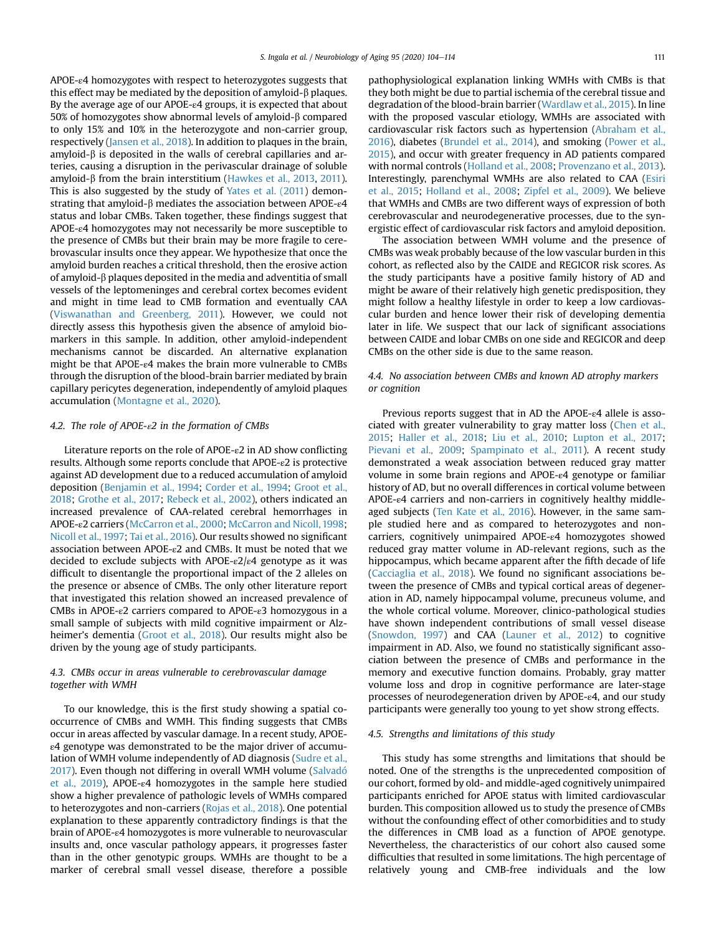APOE-ε4 homozygotes with respect to heterozygotes suggests that this effect may be mediated by the deposition of amyloid- $\beta$  plaques. By the average age of our APOE-ε4 groups, it is expected that about  $50\%$  of homozygotes show abnormal levels of amyloid- $\beta$  compared to only 15% and 10% in the heterozygote and non-carrier group, respectively ([Jansen et al., 2018\)](#page-9-21). In addition to plaques in the brain, amyloid- $\beta$  is deposited in the walls of cerebral capillaries and arteries, causing a disruption in the perivascular drainage of soluble amyloid- $\beta$  from the brain interstitium ([Hawkes et al., 2013,](#page-9-22) [2011](#page-9-23)). This is also suggested by the study of [Yates et al. \(2011](#page-10-16)) demonstrating that amyloid- $\beta$  mediates the association between APOE- $\epsilon$ 4 status and lobar CMBs. Taken together, these findings suggest that APOE-ε4 homozygotes may not necessarily be more susceptible to the presence of CMBs but their brain may be more fragile to cerebrovascular insults once they appear. We hypothesize that once the amyloid burden reaches a critical threshold, then the erosive action of amyloid- $\beta$  plaques deposited in the media and adventitia of small vessels of the leptomeninges and cerebral cortex becomes evident and might in time lead to CMB formation and eventually CAA ([Viswanathan and Greenberg, 2011\)](#page-10-17). However, we could not directly assess this hypothesis given the absence of amyloid biomarkers in this sample. In addition, other amyloid-independent mechanisms cannot be discarded. An alternative explanation might be that APOE-ε4 makes the brain more vulnerable to CMBs through the disruption of the blood-brain barrier mediated by brain capillary pericytes degeneration, independently of amyloid plaques accumulation [\(Montagne et al., 2020\)](#page-9-24).

#### 4.2. The role of APOE- $\varepsilon$ 2 in the formation of CMBs

Literature reports on the role of APOE-ε2 in AD show conflicting results. Although some reports conclude that APOE-ε2 is protective against AD development due to a reduced accumulation of amyloid deposition [\(Benjamin et al., 1994](#page-8-7); [Corder et al., 1994;](#page-9-25) [Groot et al.,](#page-9-26) [2018;](#page-9-26) [Grothe et al., 2017;](#page-9-27) [Rebeck et al., 2002](#page-9-28)), others indicated an increased prevalence of CAA-related cerebral hemorrhages in APOE-ε2 carriers ([McCarron et al., 2000](#page-9-29); [McCarron and Nicoll, 1998](#page-9-30); [Nicoll et al., 1997](#page-9-31); [Tai et al., 2016](#page-10-18)). Our results showed no significant association between APOE- $\epsilon$ 2 and CMBs. It must be noted that we decided to exclude subjects with APOE- $\varepsilon$ 2/ $\varepsilon$ 4 genotype as it was difficult to disentangle the proportional impact of the 2 alleles on the presence or absence of CMBs. The only other literature report that investigated this relation showed an increased prevalence of CMBs in APOE-ε2 carriers compared to APOE-ε3 homozygous in a small sample of subjects with mild cognitive impairment or Alzheimer's dementia [\(Groot et al., 2018](#page-9-26)). Our results might also be driven by the young age of study participants.

## 4.3. CMBs occur in areas vulnerable to cerebrovascular damage together with WMH

To our knowledge, this is the first study showing a spatial cooccurrence of CMBs and WMH. This finding suggests that CMBs occur in areas affected by vascular damage. In a recent study, APOEε4 genotype was demonstrated to be the major driver of accumulation of WMH volume independently of AD diagnosis ([Sudre et al.,](#page-10-19) [2017](#page-10-19)). Even though not differing in overall WMH volume [\(Salvadó](#page-10-8) [et al., 2019\)](#page-10-8), APOE-ε4 homozygotes in the sample here studied show a higher prevalence of pathologic levels of WMHs compared to heterozygotes and non-carriers ([Rojas et al., 2018](#page-10-10)). One potential explanation to these apparently contradictory findings is that the brain of APOE-ε4 homozygotes is more vulnerable to neurovascular insults and, once vascular pathology appears, it progresses faster than in the other genotypic groups. WMHs are thought to be a marker of cerebral small vessel disease, therefore a possible

pathophysiological explanation linking WMHs with CMBs is that they both might be due to partial ischemia of the cerebral tissue and degradation of the blood-brain barrier ([Wardlaw et al., 2015\)](#page-10-20). In line with the proposed vascular etiology, WMHs are associated with cardiovascular risk factors such as hypertension ([Abraham et al.,](#page-8-8) [2016](#page-8-8)), diabetes [\(Brundel et al., 2014\)](#page-8-9), and smoking ([Power et al.,](#page-9-32) [2015](#page-9-32)), and occur with greater frequency in AD patients compared with normal controls [\(Holland et al., 2008](#page-9-33); [Provenzano et al., 2013\)](#page-9-34). Interestingly, parenchymal WMHs are also related to CAA [\(Esiri](#page-9-35) [et al., 2015;](#page-9-35) [Holland et al., 2008;](#page-9-33) [Zipfel et al., 2009\)](#page-10-21). We believe that WMHs and CMBs are two different ways of expression of both cerebrovascular and neurodegenerative processes, due to the synergistic effect of cardiovascular risk factors and amyloid deposition.

The association between WMH volume and the presence of CMBs was weak probably because of the low vascular burden in this cohort, as reflected also by the CAIDE and REGICOR risk scores. As the study participants have a positive family history of AD and might be aware of their relatively high genetic predisposition, they might follow a healthy lifestyle in order to keep a low cardiovascular burden and hence lower their risk of developing dementia later in life. We suspect that our lack of significant associations between CAIDE and lobar CMBs on one side and REGICOR and deep CMBs on the other side is due to the same reason.

## 4.4. No association between CMBs and known AD atrophy markers or cognition

Previous reports suggest that in AD the APOE-ε4 allele is asso-ciated with greater vulnerability to gray matter loss [\(Chen et al.,](#page-9-36) [2015](#page-9-36); [Haller et al., 2018;](#page-9-0) [Liu et al., 2010](#page-9-37); [Lupton et al., 2017](#page-9-38); [Pievani et al., 2009](#page-9-39); [Spampinato et al., 2011](#page-10-22)). A recent study demonstrated a weak association between reduced gray matter volume in some brain regions and APOE-ε4 genotype or familiar history of AD, but no overall differences in cortical volume between APOE-ε4 carriers and non-carriers in cognitively healthy middleaged subjects [\(Ten Kate et al., 2016](#page-10-23)). However, in the same sample studied here and as compared to heterozygotes and noncarriers, cognitively unimpaired APOE-ε4 homozygotes showed reduced gray matter volume in AD-relevant regions, such as the hippocampus, which became apparent after the fifth decade of life [\(Cacciaglia et al., 2018\)](#page-8-4). We found no significant associations between the presence of CMBs and typical cortical areas of degeneration in AD, namely hippocampal volume, precuneus volume, and the whole cortical volume. Moreover, clinico-pathological studies have shown independent contributions of small vessel disease [\(Snowdon, 1997\)](#page-10-24) and CAA ([Launer et al., 2012\)](#page-9-40) to cognitive impairment in AD. Also, we found no statistically significant association between the presence of CMBs and performance in the memory and executive function domains. Probably, gray matter volume loss and drop in cognitive performance are later-stage processes of neurodegeneration driven by APOE-ε4, and our study participants were generally too young to yet show strong effects.

#### 4.5. Strengths and limitations of this study

This study has some strengths and limitations that should be noted. One of the strengths is the unprecedented composition of our cohort, formed by old- and middle-aged cognitively unimpaired participants enriched for APOE status with limited cardiovascular burden. This composition allowed us to study the presence of CMBs without the confounding effect of other comorbidities and to study the differences in CMB load as a function of APOE genotype. Nevertheless, the characteristics of our cohort also caused some difficulties that resulted in some limitations. The high percentage of relatively young and CMB-free individuals and the low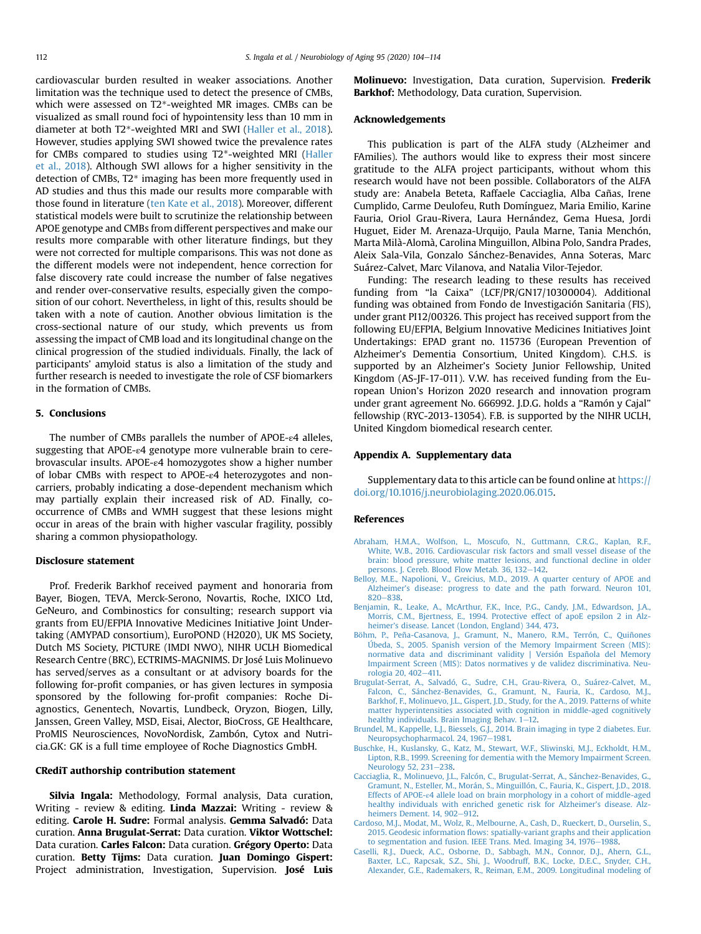cardiovascular burden resulted in weaker associations. Another limitation was the technique used to detect the presence of CMBs, which were assessed on T2\*-weighted MR images. CMBs can be visualized as small round foci of hypointensity less than 10 mm in diameter at both T2\*-weighted MRI and SWI [\(Haller et al., 2018\)](#page-9-0). However, studies applying SWI showed twice the prevalence rates for CMBs compared to studies using T2\*-weighted MRI ([Haller](#page-9-0) [et al., 2018](#page-9-0)). Although SWI allows for a higher sensitivity in the detection of CMBs, T2\* imaging has been more frequently used in AD studies and thus this made our results more comparable with those found in literature ([ten Kate et al., 2018\)](#page-10-25). Moreover, different statistical models were built to scrutinize the relationship between APOE genotype and CMBs from different perspectives and make our results more comparable with other literature findings, but they were not corrected for multiple comparisons. This was not done as the different models were not independent, hence correction for false discovery rate could increase the number of false negatives and render over-conservative results, especially given the composition of our cohort. Nevertheless, in light of this, results should be taken with a note of caution. Another obvious limitation is the cross-sectional nature of our study, which prevents us from assessing the impact of CMB load and its longitudinal change on the clinical progression of the studied individuals. Finally, the lack of participants' amyloid status is also a limitation of the study and further research is needed to investigate the role of CSF biomarkers in the formation of CMBs.

#### 5. Conclusions

The number of CMBs parallels the number of APOE-ε4 alleles, suggesting that APOE-ε4 genotype more vulnerable brain to cerebrovascular insults. APOE-ε4 homozygotes show a higher number of lobar CMBs with respect to APOE-ε4 heterozygotes and noncarriers, probably indicating a dose-dependent mechanism which may partially explain their increased risk of AD. Finally, cooccurrence of CMBs and WMH suggest that these lesions might occur in areas of the brain with higher vascular fragility, possibly sharing a common physiopathology.

#### Disclosure statement

Prof. Frederik Barkhof received payment and honoraria from Bayer, Biogen, TEVA, Merck-Serono, Novartis, Roche, IXICO Ltd, GeNeuro, and Combinostics for consulting; research support via grants from EU/EFPIA Innovative Medicines Initiative Joint Undertaking (AMYPAD consortium), EuroPOND (H2020), UK MS Society, Dutch MS Society, PICTURE (IMDI NWO), NIHR UCLH Biomedical Research Centre (BRC), ECTRIMS-MAGNIMS. Dr José Luis Molinuevo has served/serves as a consultant or at advisory boards for the following for-profit companies, or has given lectures in symposia sponsored by the following for-profit companies: Roche Diagnostics, Genentech, Novartis, Lundbeck, Oryzon, Biogen, Lilly, Janssen, Green Valley, MSD, Eisai, Alector, BioCross, GE Healthcare, ProMIS Neurosciences, NovoNordisk, Zambón, Cytox and Nutricia.GK: GK is a full time employee of Roche Diagnostics GmbH.

#### CRediT authorship contribution statement

Silvia Ingala: Methodology, Formal analysis, Data curation, Writing - review & editing. Linda Mazzai: Writing - review & editing. Carole H. Sudre: Formal analysis. Gemma Salvadó: Data curation. Anna Brugulat-Serrat: Data curation. Viktor Wottschel: Data curation. Carles Falcon: Data curation. Grégory Operto: Data curation. Betty Tijms: Data curation. Juan Domingo Gispert: Project administration, Investigation, Supervision. José Luis Molinuevo: Investigation, Data curation, Supervision. Frederik Barkhof: Methodology, Data curation, Supervision.

#### Acknowledgements

This publication is part of the ALFA study (ALzheimer and FAmilies). The authors would like to express their most sincere gratitude to the ALFA project participants, without whom this research would have not been possible. Collaborators of the ALFA study are: Anabela Beteta, Raffaele Cacciaglia, Alba Cañas, Irene Cumplido, Carme Deulofeu, Ruth Domínguez, Maria Emilio, Karine Fauria, Oriol Grau-Rivera, Laura Hernández, Gema Huesa, Jordi Huguet, Eider M. Arenaza-Urquijo, Paula Marne, Tania Menchón, Marta Milà-Alomà, Carolina Minguillon, Albina Polo, Sandra Prades, Aleix Sala-Vila, Gonzalo Sánchez-Benavides, Anna Soteras, Marc Suárez-Calvet, Marc Vilanova, and Natalia Vilor-Tejedor.

Funding: The research leading to these results has received funding from "la Caixa" (LCF/PR/GN17/10300004). Additional funding was obtained from Fondo de Investigación Sanitaria (FIS), under grant PI12/00326. This project has received support from the following EU/EFPIA, Belgium Innovative Medicines Initiatives Joint Undertakings: EPAD grant no. 115736 (European Prevention of Alzheimer's Dementia Consortium, United Kingdom). C.H.S. is supported by an Alzheimer's Society Junior Fellowship, United Kingdom (AS-JF-17-011). V.W. has received funding from the European Union's Horizon 2020 research and innovation program under grant agreement No. 666992. J.D.G. holds a "Ramón y Cajal" fellowship (RYC-2013-13054). F.B. is supported by the NIHR UCLH, United Kingdom biomedical research center.

#### Appendix A. Supplementary data

Supplementary data to this article can be found online at [https://](https://doi.org/10.1016/j.neurobiolaging.2020.06.015) [doi.org/10.1016/j.neurobiolaging.2020.06.015.](https://doi.org/10.1016/j.neurobiolaging.2020.06.015)

#### References

- <span id="page-8-8"></span>[Abraham, H.M.A., Wolfson, L., Moscufo, N., Guttmann, C.R.G., Kaplan, R.F.,](http://refhub.elsevier.com/S0197-4580(20)30208-6/sref1) [White, W.B., 2016. Cardiovascular risk factors and small vessel disease of the](http://refhub.elsevier.com/S0197-4580(20)30208-6/sref1) [brain: blood pressure, white matter lesions, and functional decline in older](http://refhub.elsevier.com/S0197-4580(20)30208-6/sref1) [persons. J. Cereb. Blood Flow Metab. 36, 132](http://refhub.elsevier.com/S0197-4580(20)30208-6/sref1)-[142](http://refhub.elsevier.com/S0197-4580(20)30208-6/sref1).
- <span id="page-8-1"></span>[Belloy, M.E., Napolioni, V., Greicius, M.D., 2019. A quarter century of APOE and](http://refhub.elsevier.com/S0197-4580(20)30208-6/sref2) Alzheimer'[s disease: progress to date and the path forward. Neuron 101,](http://refhub.elsevier.com/S0197-4580(20)30208-6/sref2) [820](http://refhub.elsevier.com/S0197-4580(20)30208-6/sref2)-[838](http://refhub.elsevier.com/S0197-4580(20)30208-6/sref2).
- <span id="page-8-7"></span>[Benjamin, R., Leake, A., McArthur, F.K., Ince, P.G., Candy, J.M., Edwardson, J.A.,](http://refhub.elsevier.com/S0197-4580(20)30208-6/sref3) [Morris, C.M., Bjertness, E., 1994. Protective effect of apoE epsilon 2 in Alz](http://refhub.elsevier.com/S0197-4580(20)30208-6/sref3)heimer'[s disease. Lancet \(London, England\) 344, 473.](http://refhub.elsevier.com/S0197-4580(20)30208-6/sref3)
- <span id="page-8-2"></span>[Böhm, P., Peña-Casanova, J., Gramunt, N., Manero, R.M., Terrón, C., Quiñones](http://refhub.elsevier.com/S0197-4580(20)30208-6/sref4) [Úbeda, S., 2005. Spanish version of the Memory Impairment Screen \(MIS\):](http://refhub.elsevier.com/S0197-4580(20)30208-6/sref4) [normative data and discriminant validity | Versión Española del Memory](http://refhub.elsevier.com/S0197-4580(20)30208-6/sref4) [Impairment Screen \(MIS\): Datos normatives y de validez discriminativa. Neu](http://refhub.elsevier.com/S0197-4580(20)30208-6/sref4)[rologia 20, 402](http://refhub.elsevier.com/S0197-4580(20)30208-6/sref4)-[411.](http://refhub.elsevier.com/S0197-4580(20)30208-6/sref4)
- <span id="page-8-5"></span>[Brugulat-Serrat, A., Salvadó, G., Sudre, C.H., Grau-Rivera, O., Suárez-Calvet, M.,](http://refhub.elsevier.com/S0197-4580(20)30208-6/sref5) [Falcon, C., Sánchez-Benavides, G., Gramunt, N., Fauria, K., Cardoso, M.J.,](http://refhub.elsevier.com/S0197-4580(20)30208-6/sref5) [Barkhof, F., Molinuevo, J.L., Gispert, J.D., Study, for the A., 2019. Patterns of white](http://refhub.elsevier.com/S0197-4580(20)30208-6/sref5) [matter hyperintensities associated with cognition in middle-aged cognitively](http://refhub.elsevier.com/S0197-4580(20)30208-6/sref5) healthy individuals. Brain Imaging Behav.  $1-12$ .
- <span id="page-8-9"></span>[Brundel, M., Kappelle, L.J., Biessels, G.J., 2014. Brain imaging in type 2 diabetes. Eur.](http://refhub.elsevier.com/S0197-4580(20)30208-6/sref6) [Neuropsychopharmacol. 24, 1967](http://refhub.elsevier.com/S0197-4580(20)30208-6/sref6)–[1981.](http://refhub.elsevier.com/S0197-4580(20)30208-6/sref6)
- <span id="page-8-3"></span>[Buschke, H., Kuslansky, G., Katz, M., Stewart, W.F., Sliwinski, M.J., Eckholdt, H.M.,](http://refhub.elsevier.com/S0197-4580(20)30208-6/sref7) [Lipton, R.B., 1999. Screening for dementia with the Memory Impairment Screen.](http://refhub.elsevier.com/S0197-4580(20)30208-6/sref7) [Neurology 52, 231](http://refhub.elsevier.com/S0197-4580(20)30208-6/sref7)-[238.](http://refhub.elsevier.com/S0197-4580(20)30208-6/sref7)
- <span id="page-8-4"></span>[Cacciaglia, R., Molinuevo, J.L., Falcón, C., Brugulat-Serrat, A., Sánchez-Benavides, G.,](http://refhub.elsevier.com/S0197-4580(20)30208-6/sref8) [Gramunt, N., Esteller, M., Morán, S., Minguillón, C., Fauria, K., Gispert, J.D., 2018.](http://refhub.elsevier.com/S0197-4580(20)30208-6/sref8) [Effects of APOE-](http://refhub.elsevier.com/S0197-4580(20)30208-6/sref8)ε[4 allele load on brain morphology in a cohort of middle-aged](http://refhub.elsevier.com/S0197-4580(20)30208-6/sref8) [healthy individuals with enriched genetic risk for Alzheimer](http://refhub.elsevier.com/S0197-4580(20)30208-6/sref8)'s disease. Alz-<br>[heimers Dement. 14, 902](http://refhub.elsevier.com/S0197-4580(20)30208-6/sref8)–[912.](http://refhub.elsevier.com/S0197-4580(20)30208-6/sref8)
- <span id="page-8-6"></span>[Cardoso, M.J., Modat, M., Wolz, R., Melbourne, A., Cash, D., Rueckert, D., Ourselin, S.,](http://refhub.elsevier.com/S0197-4580(20)30208-6/sref9) 2015. Geodesic information fl[ows: spatially-variant graphs and their application](http://refhub.elsevier.com/S0197-4580(20)30208-6/sref9) [to segmentation and fusion. IEEE Trans. Med. Imaging 34, 1976](http://refhub.elsevier.com/S0197-4580(20)30208-6/sref9)-[1988.](http://refhub.elsevier.com/S0197-4580(20)30208-6/sref9)
- <span id="page-8-0"></span>[Caselli, R.J., Dueck, A.C., Osborne, D., Sabbagh, M.N., Connor, D.J., Ahern, G.L.,](http://refhub.elsevier.com/S0197-4580(20)30208-6/sref10) [Baxter, L.C., Rapcsak, S.Z., Shi, J., Woodruff, B.K., Locke, D.E.C., Snyder, C.H.,](http://refhub.elsevier.com/S0197-4580(20)30208-6/sref10) [Alexander, G.E., Rademakers, R., Reiman, E.M., 2009. Longitudinal modeling of](http://refhub.elsevier.com/S0197-4580(20)30208-6/sref10)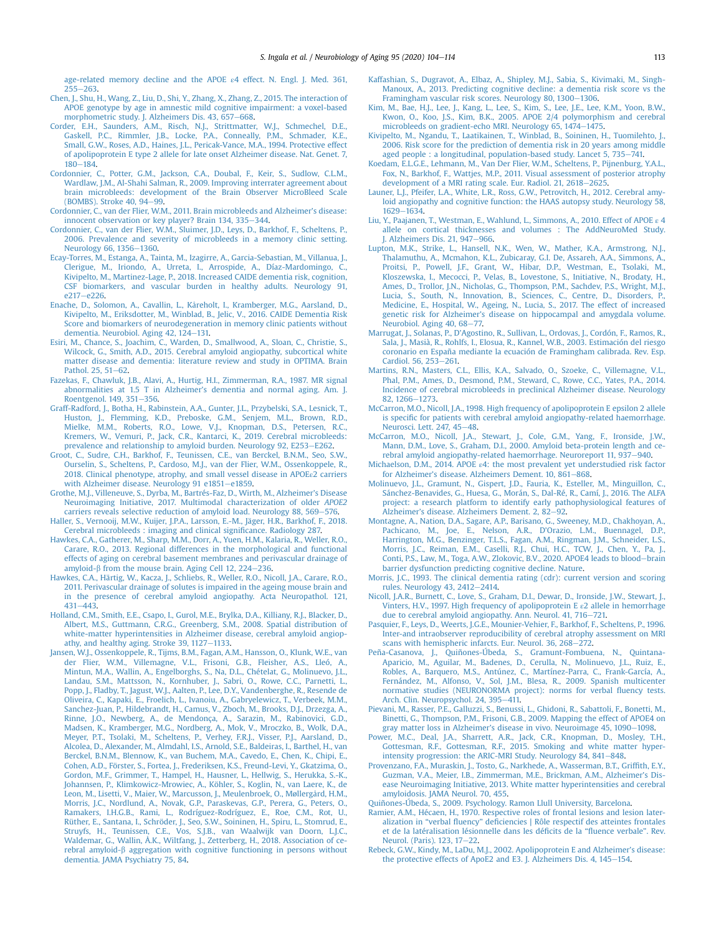[age-related memory decline and the APOE](http://refhub.elsevier.com/S0197-4580(20)30208-6/sref10) ε[4 effect. N. Engl. J. Med. 361,](http://refhub.elsevier.com/S0197-4580(20)30208-6/sref10)  $255 - 263$  $255 - 263$  $255 - 263$ .

- <span id="page-9-36"></span>[Chen, J., Shu, H., Wang, Z., Liu, D., Shi, Y., Zhang, X., Zhang, Z., 2015. The interaction of](http://refhub.elsevier.com/S0197-4580(20)30208-6/sref11) [APOE genotype by age in amnestic mild cognitive impairment: a voxel-based](http://refhub.elsevier.com/S0197-4580(20)30208-6/sref11) [morphometric study. J. Alzheimers Dis. 43, 657](http://refhub.elsevier.com/S0197-4580(20)30208-6/sref11)-[668.](http://refhub.elsevier.com/S0197-4580(20)30208-6/sref11)
- <span id="page-9-25"></span>[Corder, E.H., Saunders, A.M., Risch, N.J., Strittmatter, W.J., Schmechel, D.E.,](http://refhub.elsevier.com/S0197-4580(20)30208-6/sref12) [Gaskell, P.C., Rimmler, J.B., Locke, P.A., Conneally, P.M., Schmader, K.E.,](http://refhub.elsevier.com/S0197-4580(20)30208-6/sref12) [Small, G.W., Roses, A.D., Haines, J.L., Pericak-Vance, M.A., 1994. Protective effect](http://refhub.elsevier.com/S0197-4580(20)30208-6/sref12) [of apolipoprotein E type 2 allele for late onset Alzheimer disease. Nat. Genet. 7,](http://refhub.elsevier.com/S0197-4580(20)30208-6/sref12) [180](http://refhub.elsevier.com/S0197-4580(20)30208-6/sref12)-[184](http://refhub.elsevier.com/S0197-4580(20)30208-6/sref12).
- <span id="page-9-19"></span>[Cordonnier, C., Potter, G.M., Jackson, C.A., Doubal, F., Keir, S., Sudlow, C.L.M.,](http://refhub.elsevier.com/S0197-4580(20)30208-6/sref13) [Wardlaw, J.M., Al-Shahi Salman, R., 2009. Improving interrater agreement about](http://refhub.elsevier.com/S0197-4580(20)30208-6/sref13) [brain microbleeds: development of the Brain Observer MicroBleed Scale](http://refhub.elsevier.com/S0197-4580(20)30208-6/sref13) [\(BOMBS\). Stroke 40, 94](http://refhub.elsevier.com/S0197-4580(20)30208-6/sref13)-[99](http://refhub.elsevier.com/S0197-4580(20)30208-6/sref13).
- <span id="page-9-1"></span>[Cordonnier, C., van der Flier, W.M., 2011. Brain microbleeds and Alzheimer](http://refhub.elsevier.com/S0197-4580(20)30208-6/sref14)'s disease: [innocent observation or key player? Brain 134, 335](http://refhub.elsevier.com/S0197-4580(20)30208-6/sref14)-[344](http://refhub.elsevier.com/S0197-4580(20)30208-6/sref14).
- <span id="page-9-3"></span>[Cordonnier, C., van der Flier, W.M., Sluimer, J.D., Leys, D., Barkhof, F., Scheltens, P.,](http://refhub.elsevier.com/S0197-4580(20)30208-6/sref15) [2006. Prevalence and severity of microbleeds in a memory clinic setting.](http://refhub.elsevier.com/S0197-4580(20)30208-6/sref15) [Neurology 66, 1356](http://refhub.elsevier.com/S0197-4580(20)30208-6/sref15)-[1360](http://refhub.elsevier.com/S0197-4580(20)30208-6/sref15).
- <span id="page-9-13"></span>[Ecay-Torres, M., Estanga, A., Tainta, M., Izagirre, A., Garcia-Sebastian, M., Villanua, J.,](http://refhub.elsevier.com/S0197-4580(20)30208-6/sref16) [Clerigue, M., Iriondo, A., Urreta, I., Arrospide, A., Díaz-Mardomingo, C.,](http://refhub.elsevier.com/S0197-4580(20)30208-6/sref16) [Kivipelto, M., Martinez-Lage, P., 2018. Increased CAIDE dementia risk, cognition,](http://refhub.elsevier.com/S0197-4580(20)30208-6/sref16) biomarkers, and vascular burden in healthy adults. Neurology 91,  $e^{217-e^{226}$ .
- <span id="page-9-14"></span>[Enache, D., Solomon, A., Cavallin, L., Kåreholt, I., Kramberger, M.G., Aarsland, D.,](http://refhub.elsevier.com/S0197-4580(20)30208-6/sref17) [Kivipelto, M., Eriksdotter, M., Winblad, B., Jelic, V., 2016. CAIDE Dementia Risk](http://refhub.elsevier.com/S0197-4580(20)30208-6/sref17) [Score and biomarkers of neurodegeneration in memory clinic patients without](http://refhub.elsevier.com/S0197-4580(20)30208-6/sref17) dementia. Neurobiol. Aging  $42$ ,  $124-131$ .
- <span id="page-9-35"></span>[Esiri, M., Chance, S., Joachim, C., Warden, D., Smallwood, A., Sloan, C., Christie, S.,](http://refhub.elsevier.com/S0197-4580(20)30208-6/sref18) [Wilcock, G., Smith, A.D., 2015. Cerebral amyloid angiopathy, subcortical white](http://refhub.elsevier.com/S0197-4580(20)30208-6/sref18) [matter disease and dementia: literature review and study in OPTIMA. Brain](http://refhub.elsevier.com/S0197-4580(20)30208-6/sref18) Pathol.  $25.51 - 62$ .
- <span id="page-9-18"></span>[Fazekas, F., Chawluk, J.B., Alavi, A., Hurtig, H.I., Zimmerman, R.A., 1987. MR signal](http://refhub.elsevier.com/S0197-4580(20)30208-6/sref19) abnormalities at 1.5 T in Alzheimer'[s dementia and normal aging. Am. J.](http://refhub.elsevier.com/S0197-4580(20)30208-6/sref19) [Roentgenol. 149, 351](http://refhub.elsevier.com/S0197-4580(20)30208-6/sref19)-[356](http://refhub.elsevier.com/S0197-4580(20)30208-6/sref19).
- <span id="page-9-20"></span>[Graff-Radford, J., Botha, H., Rabinstein, A.A., Gunter, J.L., Przybelski, S.A., Lesnick, T.,](http://refhub.elsevier.com/S0197-4580(20)30208-6/sref20) [Huston, J., Flemming, K.D., Preboske, G.M., Senjem, M.L., Brown, R.D.,](http://refhub.elsevier.com/S0197-4580(20)30208-6/sref20)<br>[Mielke, M.M., Roberts, R.O., Lowe, V.J., Knopman, D.S., Petersen, R.C.,](http://refhub.elsevier.com/S0197-4580(20)30208-6/sref20) [Kremers, W., Vemuri, P., Jack, C.R., Kantarci, K., 2019. Cerebral microbleeds:](http://refhub.elsevier.com/S0197-4580(20)30208-6/sref20) [prevalence and relationship to amyloid burden. Neurology 92, E253](http://refhub.elsevier.com/S0197-4580(20)30208-6/sref20)-[E262.](http://refhub.elsevier.com/S0197-4580(20)30208-6/sref20)
- <span id="page-9-26"></span>[Groot, C., Sudre, C.H., Barkhof, F., Teunissen, C.E., van Berckel, B.N.M., Seo, S.W.,](http://refhub.elsevier.com/S0197-4580(20)30208-6/sref21) [Ourselin, S., Scheltens, P., Cardoso, M.J., van der Flier, W.M., Ossenkoppele, R.,](http://refhub.elsevier.com/S0197-4580(20)30208-6/sref21) [2018. Clinical phenotype, atrophy, and small vessel disease in APOE](http://refhub.elsevier.com/S0197-4580(20)30208-6/sref21)ε[2 carriers](http://refhub.elsevier.com/S0197-4580(20)30208-6/sref21) [with Alzheimer disease. Neurology 91 e1851](http://refhub.elsevier.com/S0197-4580(20)30208-6/sref21)-[e1859.](http://refhub.elsevier.com/S0197-4580(20)30208-6/sref21)
- <span id="page-9-27"></span>[Grothe, M.J., Villeneuve, S., Dyrba, M., Bartrés-Faz, D., Wirth, M., Alzheimer](http://refhub.elsevier.com/S0197-4580(20)30208-6/sref22)'s Disease [Neuroimaging Initiative, 2017. Multimodal characterization of older](http://refhub.elsevier.com/S0197-4580(20)30208-6/sref22) APOE2 [carriers reveals selective reduction of amyloid load. Neurology 88, 569](http://refhub.elsevier.com/S0197-4580(20)30208-6/sref22)-[576](http://refhub.elsevier.com/S0197-4580(20)30208-6/sref22).
- <span id="page-9-0"></span>[Haller, S., Vernooij, M.W., Kuijer, J.P.A., Larsson, E.-M., Jäger, H.R., Barkhof, F., 2018.](http://refhub.elsevier.com/S0197-4580(20)30208-6/sref23) [Cerebral microbleeds : imaging and clinical signi](http://refhub.elsevier.com/S0197-4580(20)30208-6/sref23)ficance. Radiology 287.
- <span id="page-9-22"></span>[Hawkes, C.A., Gatherer, M., Sharp, M.M., Dorr, A., Yuen, H.M., Kalaria, R., Weller, R.O.,](http://refhub.elsevier.com/S0197-4580(20)30208-6/sref24) [Carare, R.O., 2013. Regional differences in the morphological and functional](http://refhub.elsevier.com/S0197-4580(20)30208-6/sref24) [effects of aging on cerebral basement membranes and perivascular drainage of](http://refhub.elsevier.com/S0197-4580(20)30208-6/sref24) amyloid- $\beta$  [from the mouse brain. Aging Cell 12, 224](http://refhub.elsevier.com/S0197-4580(20)30208-6/sref24)-[236.](http://refhub.elsevier.com/S0197-4580(20)30208-6/sref24)
- <span id="page-9-23"></span>[Hawkes, C.A., Härtig, W., Kacza, J., Schliebs, R., Weller, R.O., Nicoll, J.A., Carare, R.O.,](http://refhub.elsevier.com/S0197-4580(20)30208-6/sref25) [2011. Perivascular drainage of solutes is impaired in the ageing mouse brain and](http://refhub.elsevier.com/S0197-4580(20)30208-6/sref25) [in the presence of cerebral amyloid angiopathy. Acta Neuropathol. 121,](http://refhub.elsevier.com/S0197-4580(20)30208-6/sref25)  $431 - 443$  $431 - 443$
- <span id="page-9-33"></span>[Holland, C.M., Smith, E.E., Csapo, I., Gurol, M.E., Brylka, D.A., Killiany, R.J., Blacker, D.,](http://refhub.elsevier.com/S0197-4580(20)30208-6/sref26) [Albert, M.S., Guttmann, C.R.G., Greenberg, S.M., 2008. Spatial distribution of](http://refhub.elsevier.com/S0197-4580(20)30208-6/sref26) [white-matter hyperintensities in Alzheimer disease, cerebral amyloid angiop](http://refhub.elsevier.com/S0197-4580(20)30208-6/sref26)[athy, and healthy aging. Stroke 39, 1127](http://refhub.elsevier.com/S0197-4580(20)30208-6/sref26)-[1133.](http://refhub.elsevier.com/S0197-4580(20)30208-6/sref26)
- <span id="page-9-21"></span>[Jansen, W.J., Ossenkoppele, R., Tijms, B.M., Fagan, A.M., Hansson, O., Klunk, W.E., van](http://refhub.elsevier.com/S0197-4580(20)30208-6/sref27) [der Flier, W.M., Villemagne, V.L., Frisoni, G.B., Fleisher, A.S., Lleó, A.,](http://refhub.elsevier.com/S0197-4580(20)30208-6/sref27) [Mintun, M.A., Wallin, A., Engelborghs, S., Na, D.L., Chételat, G., Molinuevo, J.L.,](http://refhub.elsevier.com/S0197-4580(20)30208-6/sref27) [Landau, S.M., Mattsson, N., Kornhuber, J., Sabri, O., Rowe, C.C., Parnetti, L.,](http://refhub.elsevier.com/S0197-4580(20)30208-6/sref27) [Popp, J., Fladby, T., Jagust, W.J., Aalten, P., Lee, D.Y., Vandenberghe, R., Resende de](http://refhub.elsevier.com/S0197-4580(20)30208-6/sref27) [Oliveira, C., Kapaki, E., Froelich, L., Ivanoiu, A., Gabryelewicz, T., Verbeek, M.M.,](http://refhub.elsevier.com/S0197-4580(20)30208-6/sref27) [Sanchez-Juan, P., Hildebrandt, H., Camus, V., Zboch, M., Brooks, D.J., Drzezga, A.,](http://refhub.elsevier.com/S0197-4580(20)30208-6/sref27) [Rinne, J.O., Newberg, A., de Mendonça, A., Sarazin, M., Rabinovici, G.D.,](http://refhub.elsevier.com/S0197-4580(20)30208-6/sref27) [Madsen, K., Kramberger, M.G., Nordberg, A., Mok, V., Mroczko, B., Wolk, D.A.,](http://refhub.elsevier.com/S0197-4580(20)30208-6/sref27) [Meyer, P.T., Tsolaki, M., Scheltens, P., Verhey, F.R.J., Visser, P.J., Aarsland, D.,](http://refhub.elsevier.com/S0197-4580(20)30208-6/sref27) [Alcolea, D., Alexander, M., Almdahl, I.S., Arnold, S.E., Baldeiras, I., Barthel, H., van](http://refhub.elsevier.com/S0197-4580(20)30208-6/sref27) [Berckel, B.N.M., Blennow, K., van Buchem, M.A., Cavedo, E., Chen, K., Chipi, E.,](http://refhub.elsevier.com/S0197-4580(20)30208-6/sref27) [Cohen, A.D., Förster, S., Fortea, J., Frederiksen, K.S., Freund-Levi, Y., Gkatzima, O.,](http://refhub.elsevier.com/S0197-4580(20)30208-6/sref27) [Gordon, M.F., Grimmer, T., Hampel, H., Hausner, L., Hellwig, S., Herukka, S.-K.,](http://refhub.elsevier.com/S0197-4580(20)30208-6/sref27) [Johannsen, P., Klimkowicz-Mrowiec, A., Köhler, S., Koglin, N., van Laere, K., de](http://refhub.elsevier.com/S0197-4580(20)30208-6/sref27) [Leon, M., Lisetti, V., Maier, W., Marcusson, J., Meulenbroek, O., Møllergård, H.M.,](http://refhub.elsevier.com/S0197-4580(20)30208-6/sref27) [Morris, J.C., Nordlund, A., Novak, G.P., Paraskevas, G.P., Perera, G., Peters, O.,](http://refhub.elsevier.com/S0197-4580(20)30208-6/sref27) [Ramakers, I.H.G.B., Rami, L., Rodríguez-Rodríguez, E., Roe, C.M., Rot, U.,](http://refhub.elsevier.com/S0197-4580(20)30208-6/sref27) [Rüther, E., Santana, I., Schröder, J., Seo, S.W., Soininen, H., Spiru, L., Stomrud, E.,](http://refhub.elsevier.com/S0197-4580(20)30208-6/sref27) [Struyfs, H., Teunissen, C.E., Vos, S.J.B., van Waalwijk van Doorn, L.J.C.,](http://refhub.elsevier.com/S0197-4580(20)30208-6/sref27) [Waldemar, G., Wallin, Å.K., Wiltfang, J., Zetterberg, H., 2018. Association of ce](http://refhub.elsevier.com/S0197-4580(20)30208-6/sref27)rebral amyloid-b [aggregation with cognitive functioning in persons without](http://refhub.elsevier.com/S0197-4580(20)30208-6/sref27) [dementia. JAMA Psychiatry 75, 84](http://refhub.elsevier.com/S0197-4580(20)30208-6/sref27).
- <span id="page-9-15"></span>[Kaffashian, S., Dugravot, A., Elbaz, A., Shipley, M.J., Sabia, S., Kivimaki, M., Singh-](http://refhub.elsevier.com/S0197-4580(20)30208-6/sref28)[Manoux, A., 2013. Predicting cognitive decline: a dementia risk score vs the](http://refhub.elsevier.com/S0197-4580(20)30208-6/sref28) [Framingham vascular risk scores. Neurology 80, 1300](http://refhub.elsevier.com/S0197-4580(20)30208-6/sref28)-[1306](http://refhub.elsevier.com/S0197-4580(20)30208-6/sref28).
- <span id="page-9-4"></span>[Kim, M., Bae, H.J., Lee, J., Kang, L., Lee, S., Kim, S., Lee, J.E., Lee, K.M., Yoon, B.W.,](http://refhub.elsevier.com/S0197-4580(20)30208-6/sref29) [Kwon, O., Koo, J.S., Kim, B.K., 2005. APOE 2/4 polymorphism and cerebral](http://refhub.elsevier.com/S0197-4580(20)30208-6/sref29) [microbleeds on gradient-echo MRI. Neurology 65, 1474](http://refhub.elsevier.com/S0197-4580(20)30208-6/sref29)-[1475](http://refhub.elsevier.com/S0197-4580(20)30208-6/sref29).
- <span id="page-9-12"></span>Kivipelto, M., Ngandu, T., Laatikainen, T., Winblad, B., Soininen, H., Tuomilehto, J. [2006. Risk score for the prediction of dementia risk in 20 years among middle](http://refhub.elsevier.com/S0197-4580(20)30208-6/sref30) [aged people : a longitudinal, population-based study. Lancet 5, 735](http://refhub.elsevier.com/S0197-4580(20)30208-6/sref30)-[741.](http://refhub.elsevier.com/S0197-4580(20)30208-6/sref30)
- <span id="page-9-16"></span>[Koedam, E.L.G.E., Lehmann, M., Van Der Flier, W.M., Scheltens, P., Pijnenburg, Y.A.L.,](http://refhub.elsevier.com/S0197-4580(20)30208-6/sref31) [Fox, N., Barkhof, F., Wattjes, M.P., 2011. Visual assessment of posterior atrophy](http://refhub.elsevier.com/S0197-4580(20)30208-6/sref31) [development of a MRI rating scale. Eur. Radiol. 21, 2618](http://refhub.elsevier.com/S0197-4580(20)30208-6/sref31)-[2625](http://refhub.elsevier.com/S0197-4580(20)30208-6/sref31).
- <span id="page-9-40"></span>[Launer, L.J., Pfeifer, L.A., White, L.R., Ross, G.W., Petrovitch, H., 2012. Cerebral amy](http://refhub.elsevier.com/S0197-4580(20)30208-6/sref32)[loid angiopathy and cognitive function: the HAAS autopsy study. Neurology 58,](http://refhub.elsevier.com/S0197-4580(20)30208-6/sref32) [1629](http://refhub.elsevier.com/S0197-4580(20)30208-6/sref32)-[1634](http://refhub.elsevier.com/S0197-4580(20)30208-6/sref32).
- <span id="page-9-37"></span>[Liu, Y., Paajanen, T., Westman, E., Wahlund, L., Simmons, A., 2010. Effect of APOE](http://refhub.elsevier.com/S0197-4580(20)30208-6/sref33) ε [4](http://refhub.elsevier.com/S0197-4580(20)30208-6/sref33) [allele on cortical thicknesses and volumes : The AddNeuroMed Study.](http://refhub.elsevier.com/S0197-4580(20)30208-6/sref33) [J. Alzheimers Dis. 21, 947](http://refhub.elsevier.com/S0197-4580(20)30208-6/sref33)-[966](http://refhub.elsevier.com/S0197-4580(20)30208-6/sref33).
- <span id="page-9-38"></span>[Lupton, M.K., Strike, L., Hansell, N.K., Wen, W., Mather, K.A., Armstrong, N.J.,](http://refhub.elsevier.com/S0197-4580(20)30208-6/sref34) [Thalamuthu, A., Mcmahon, K.L., Zubicaray, G.I. De, Assareh, A.A., Simmons, A.,](http://refhub.elsevier.com/S0197-4580(20)30208-6/sref34) [Proitsi, P., Powell, J.F., Grant, W., Hibar, D.P., Westman, E., Tsolaki, M.,](http://refhub.elsevier.com/S0197-4580(20)30208-6/sref34) [Kloszewska, I., Mecocci, P., Velas, B., Lovestone, S., Initiative, N., Brodaty, H.,](http://refhub.elsevier.com/S0197-4580(20)30208-6/sref34) [Ames, D., Trollor, J.N., Nicholas, G., Thompson, P.M., Sachdev, P.S., Wright, M.J.,](http://refhub.elsevier.com/S0197-4580(20)30208-6/sref34) [Lucia, S., South, N., Innovation, B., Sciences, C., Centre, D., Disorders, P.,](http://refhub.elsevier.com/S0197-4580(20)30208-6/sref34) [Medicine, E., Hospital, W., Ageing, N., Lucia, S., 2017. The effect of increased](http://refhub.elsevier.com/S0197-4580(20)30208-6/sref34) genetic risk for Alzheimer'[s disease on hippocampal and amygdala volume.](http://refhub.elsevier.com/S0197-4580(20)30208-6/sref34) [Neurobiol. Aging 40, 68](http://refhub.elsevier.com/S0197-4580(20)30208-6/sref34)-[77.](http://refhub.elsevier.com/S0197-4580(20)30208-6/sref34)
- <span id="page-9-11"></span>Marrugat, J., Solanas, P., D'[Agostino, R., Sullivan, L., Ordovas, J., Cordón, F., Ramos, R.,](http://refhub.elsevier.com/S0197-4580(20)30208-6/sref35) [Sala, J., Masià, R., Rohlfs, I., Elosua, R., Kannel, W.B., 2003. Estimación del riesgo](http://refhub.elsevier.com/S0197-4580(20)30208-6/sref35) [coronario en España mediante la ecuación de Framingham calibrada. Rev. Esp.](http://refhub.elsevier.com/S0197-4580(20)30208-6/sref35) [Cardiol. 56, 253](http://refhub.elsevier.com/S0197-4580(20)30208-6/sref35)-[261.](http://refhub.elsevier.com/S0197-4580(20)30208-6/sref35)
- <span id="page-9-5"></span>[Martins, R.N., Masters, C.L., Ellis, K.A., Salvado, O., Szoeke, C., Villemagne, V.L.,](http://refhub.elsevier.com/S0197-4580(20)30208-6/sref36) [Phal, P.M., Ames, D., Desmond, P.M., Steward, C., Rowe, C.C., Yates, P.A., 2014.](http://refhub.elsevier.com/S0197-4580(20)30208-6/sref36) [Incidence of cerebral microbleeds in preclinical Alzheimer disease. Neurology](http://refhub.elsevier.com/S0197-4580(20)30208-6/sref36) [82, 1266](http://refhub.elsevier.com/S0197-4580(20)30208-6/sref36)-[1273](http://refhub.elsevier.com/S0197-4580(20)30208-6/sref36).
- <span id="page-9-30"></span>[McCarron, M.O., Nicoll, J.A., 1998. High frequency of apolipoprotein E epsilon 2 allele](http://refhub.elsevier.com/S0197-4580(20)30208-6/sref37) is specifi[c for patients with cerebral amyloid angiopathy-related haemorrhage.](http://refhub.elsevier.com/S0197-4580(20)30208-6/sref37) [Neurosci. Lett. 247, 45](http://refhub.elsevier.com/S0197-4580(20)30208-6/sref37)-[48.](http://refhub.elsevier.com/S0197-4580(20)30208-6/sref37)
- <span id="page-9-29"></span>[McCarron, M.O., Nicoll, J.A., Stewart, J., Cole, G.M., Yang, F., Ironside, J.W.,](http://refhub.elsevier.com/S0197-4580(20)30208-6/sref38) [Mann, D.M., Love, S., Graham, D.I., 2000. Amyloid beta-protein length and ce](http://refhub.elsevier.com/S0197-4580(20)30208-6/sref38)[rebral amyloid angiopathy-related haemorrhage. Neuroreport 11, 937](http://refhub.elsevier.com/S0197-4580(20)30208-6/sref38)–[940.](http://refhub.elsevier.com/S0197-4580(20)30208-6/sref38)
- <span id="page-9-2"></span>[Michaelson, D.M., 2014. APOE](http://refhub.elsevier.com/S0197-4580(20)30208-6/sref39) ε[4: the most prevalent yet understudied risk factor](http://refhub.elsevier.com/S0197-4580(20)30208-6/sref39) for Alzheimer'[s disease. Alzheimers Dement. 10, 861](http://refhub.elsevier.com/S0197-4580(20)30208-6/sref39)-[868.](http://refhub.elsevier.com/S0197-4580(20)30208-6/sref39)
- <span id="page-9-6"></span>[Molinuevo, J.L., Gramunt, N., Gispert, J.D., Fauria, K., Esteller, M., Minguillon, C.,](http://refhub.elsevier.com/S0197-4580(20)30208-6/sref40) [Sánchez-Benavides, G., Huesa, G., Morán, S., Dal-Ré, R., Camí, J., 2016. The ALFA](http://refhub.elsevier.com/S0197-4580(20)30208-6/sref40) [project: a research platform to identify early pathophysiological features of](http://refhub.elsevier.com/S0197-4580(20)30208-6/sref40) Alzheimer'[s disease. Alzheimers Dement. 2, 82](http://refhub.elsevier.com/S0197-4580(20)30208-6/sref40)–[92](http://refhub.elsevier.com/S0197-4580(20)30208-6/sref40).
- <span id="page-9-24"></span>[Montagne, A., Nation, D.A., Sagare, A.P., Barisano, G., Sweeney, M.D., Chakhoyan, A.,](http://refhub.elsevier.com/S0197-4580(20)30208-6/sref41) [Pachicano, M., Joe, E., Nelson, A.R., D](http://refhub.elsevier.com/S0197-4580(20)30208-6/sref41)'Orazio, L.M., Buennagel, D.P., [Harrington, M.G., Benzinger, T.L.S., Fagan, A.M., Ringman, J.M., Schneider, L.S.,](http://refhub.elsevier.com/S0197-4580(20)30208-6/sref41) [Morris, J.C., Reiman, E.M., Caselli, R.J., Chui, H.C., TCW, J., Chen, Y., Pa, J.,](http://refhub.elsevier.com/S0197-4580(20)30208-6/sref41) [Conti, P.S., Law, M., Toga, A.W., Zlokovic, B.V., 2020. APOE4 leads to blood](http://refhub.elsevier.com/S0197-4580(20)30208-6/sref41)-[brain](http://refhub.elsevier.com/S0197-4580(20)30208-6/sref41) [barrier dysfunction predicting cognitive decline. Nature.](http://refhub.elsevier.com/S0197-4580(20)30208-6/sref41)
- <span id="page-9-7"></span>[Morris, J.C., 1993. The clinical dementia rating \(cdr\): current version and scoring](http://refhub.elsevier.com/S0197-4580(20)30208-6/sref42) [rules. Neurology 43, 2412](http://refhub.elsevier.com/S0197-4580(20)30208-6/sref42)-[2414](http://refhub.elsevier.com/S0197-4580(20)30208-6/sref42).
- <span id="page-9-31"></span>[Nicoll, J.A.R., Burnett, C., Love, S., Graham, D.I., Dewar, D., Ironside, J.W., Stewart, J.,](http://refhub.elsevier.com/S0197-4580(20)30208-6/sref43) [Vinters, H.V., 1997. High frequency of apolipoprotein E](http://refhub.elsevier.com/S0197-4580(20)30208-6/sref43) ε[2 allele in hemorrhage](http://refhub.elsevier.com/S0197-4580(20)30208-6/sref43) [due to cerebral amyloid angiopathy. Ann. Neurol. 41, 716](http://refhub.elsevier.com/S0197-4580(20)30208-6/sref43)-[721.](http://refhub.elsevier.com/S0197-4580(20)30208-6/sref43)
- <span id="page-9-17"></span>[Pasquier, F., Leys, D., Weerts, J.G.E., Mounier-Vehier, F., Barkhof, F., Scheltens, P., 1996.](http://refhub.elsevier.com/S0197-4580(20)30208-6/sref44) [Inter-and intraobserver reproducibility of cerebral atrophy assessment on MRI](http://refhub.elsevier.com/S0197-4580(20)30208-6/sref44) [scans with hemispheric infarcts. Eur. Neurol. 36, 268](http://refhub.elsevier.com/S0197-4580(20)30208-6/sref44)-[272.](http://refhub.elsevier.com/S0197-4580(20)30208-6/sref44)
- <span id="page-9-9"></span>[Peña-Casanova, J., Quiñones-Úbeda, S., Gramunt-Fombuena, N., Quintana-](http://refhub.elsevier.com/S0197-4580(20)30208-6/sref45)[Aparicio, M., Aguilar, M., Badenes, D., Cerulla, N., Molinuevo, J.L., Ruiz, E.,](http://refhub.elsevier.com/S0197-4580(20)30208-6/sref45) [Robles, A., Barquero, M.S., Antúnez, C., Martínez-Parra, C., Frank-García, A.,](http://refhub.elsevier.com/S0197-4580(20)30208-6/sref45) [Fernández, M., Alfonso, V., Sol, J.M., Blesa, R., 2009. Spanish multicenter](http://refhub.elsevier.com/S0197-4580(20)30208-6/sref45) [normative studies \(NEURONORMA project\): norms for verbal](http://refhub.elsevier.com/S0197-4580(20)30208-6/sref45) fluency tests. [Arch. Clin. Neuropsychol. 24, 395](http://refhub.elsevier.com/S0197-4580(20)30208-6/sref45)-[411.](http://refhub.elsevier.com/S0197-4580(20)30208-6/sref45)
- <span id="page-9-39"></span>[Pievani, M., Rasser, P.E., Galluzzi, S., Benussi, L., Ghidoni, R., Sabattoli, F., Bonetti, M.,](http://refhub.elsevier.com/S0197-4580(20)30208-6/sref46) [Binetti, G., Thompson, P.M., Frisoni, G.B., 2009. Mapping the effect of APOE4 on](http://refhub.elsevier.com/S0197-4580(20)30208-6/sref46) gray matter loss in Alzheimer'[s disease in vivo. Neuroimage 45, 1090](http://refhub.elsevier.com/S0197-4580(20)30208-6/sref46)-[1098](http://refhub.elsevier.com/S0197-4580(20)30208-6/sref46).
- <span id="page-9-32"></span>[Power, M.C., Deal, J.A., Sharrett, A.R., Jack, C.R., Knopman, D., Mosley, T.H.,](http://refhub.elsevier.com/S0197-4580(20)30208-6/sref47) [Gottesman, R.F., Gottesman, R.F., 2015. Smoking and white matter hyper](http://refhub.elsevier.com/S0197-4580(20)30208-6/sref47)[intensity progression: the ARIC-MRI Study. Neurology 84, 841](http://refhub.elsevier.com/S0197-4580(20)30208-6/sref47)-[848.](http://refhub.elsevier.com/S0197-4580(20)30208-6/sref47)
- <span id="page-9-34"></span>[Provenzano, F.A., Muraskin, J., Tosto, G., Narkhede, A., Wasserman, B.T., Grif](http://refhub.elsevier.com/S0197-4580(20)30208-6/sref48)fith, E.Y., [Guzman, V.A., Meier, I.B., Zimmerman, M.E., Brickman, A.M., Alzheimer](http://refhub.elsevier.com/S0197-4580(20)30208-6/sref48)'s Dis[ease Neuroimaging Initiative, 2013. White matter hyperintensities and cerebral](http://refhub.elsevier.com/S0197-4580(20)30208-6/sref48) [amyloidosis. JAMA Neurol. 70, 455](http://refhub.elsevier.com/S0197-4580(20)30208-6/sref48).
- <span id="page-9-8"></span>[Quiñones-Úbeda, S., 2009. Psychology. Ramon Llull University, Barcelona](http://refhub.elsevier.com/S0197-4580(20)30208-6/sref49).
- <span id="page-9-10"></span>[Ramier, A.M., Hécaen, H., 1970. Respective roles of frontal lesions and lesion later](http://refhub.elsevier.com/S0197-4580(20)30208-6/sref50)alization in "verbal fluency" defi[ciencies | Rôle respectif des atteintes frontales](http://refhub.elsevier.com/S0197-4580(20)30208-6/sref50) [et de la latéralisation lésionnelle dans les dé](http://refhub.elsevier.com/S0197-4580(20)30208-6/sref50)ficits de la "fluence verbale". Rev. [Neurol. \(Paris\). 123, 17](http://refhub.elsevier.com/S0197-4580(20)30208-6/sref50)-[22.](http://refhub.elsevier.com/S0197-4580(20)30208-6/sref50)
- <span id="page-9-28"></span>[Rebeck, G.W., Kindy, M., LaDu, M.J., 2002. Apolipoprotein E and Alzheimer](http://refhub.elsevier.com/S0197-4580(20)30208-6/sref51)'s disease: [the protective effects of ApoE2 and E3. J. Alzheimers Dis. 4, 145](http://refhub.elsevier.com/S0197-4580(20)30208-6/sref51)-[154.](http://refhub.elsevier.com/S0197-4580(20)30208-6/sref51)